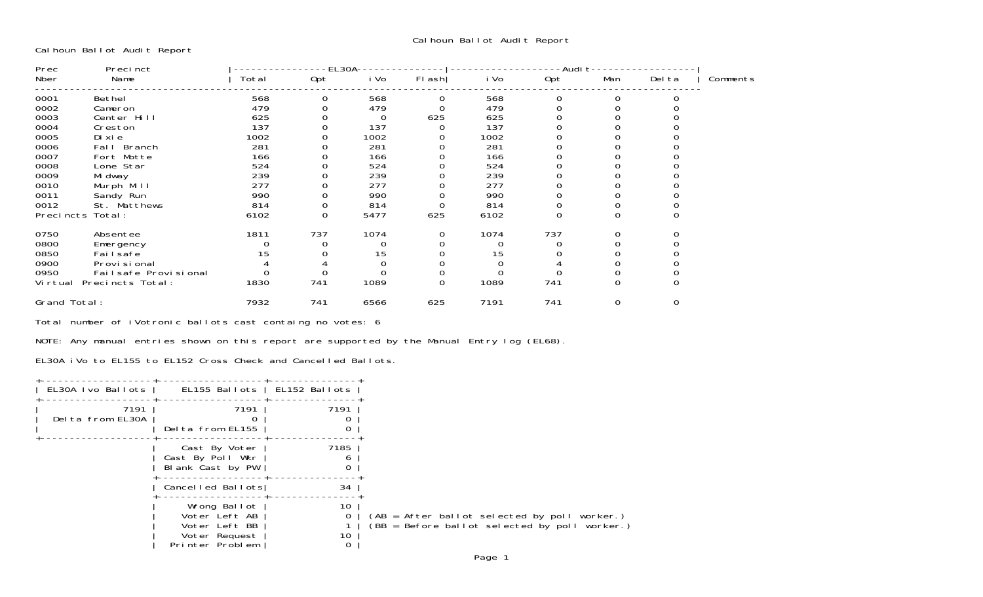Calhoun Ballot Audit Report

| Precinct<br>Prec |                      |       | EL30A· |      |        |      | Audit- |     |        |          |  |
|------------------|----------------------|-------|--------|------|--------|------|--------|-----|--------|----------|--|
| Nber             | Name                 | Total | Opt    | i Vo | FI ash | i Vo | Opt    | Man | Del ta | Comments |  |
| 0001             | Bethel               | 568   |        | 568  |        | 568  |        |     |        |          |  |
| 0002             | Cameron              | 479   |        | 479  |        | 479  |        |     |        |          |  |
| 0003             | Center Hill          | 625   |        | 0    | 625    | 625  |        |     |        |          |  |
| 0004             | Creston              | 137   |        | 137  |        | 137  |        |     |        |          |  |
| 0005             | Di xi e              | 1002  |        | 1002 |        | 1002 |        |     |        |          |  |
| 0006             | Fall Branch          | 281   |        | 281  |        | 281  |        |     |        |          |  |
| 0007             | Fort Motte           | 166   |        | 166  |        | 166  |        |     |        |          |  |
| 0008             | Lone Star            | 524   |        | 524  |        | 524  |        |     |        |          |  |
| 0009             | Mi dway              | 239   |        | 239  |        | 239  |        |     |        |          |  |
| 0010             | Murph Mill           | 277   |        | 277  |        | 277  |        |     |        |          |  |
| 0011             | Sandy Run            | 990   |        | 990  |        | 990  |        |     |        |          |  |
| 0012             | St. Matthews         | 814   |        | 814  |        | 814  |        |     |        |          |  |
|                  | Precincts Total:     | 6102  | 0      | 5477 | 625    | 6102 |        |     |        |          |  |
| 0750             | Absentee             | 1811  | 737    | 1074 | 0      | 1074 | 737    |     |        |          |  |
| 0800             | Emergency            |       |        |      |        |      |        |     |        |          |  |
| 0850             | Fai I safe           | 15    |        | 15   |        | 15   |        |     |        |          |  |
| 0900             | Provi si onal        |       |        |      |        |      |        |     |        |          |  |
| 0950             | Failsafe Provisional |       |        |      |        |      |        |     |        |          |  |
| Vi rtual         | Precincts Total:     | 1830  | 741    | 1089 | 0      | 1089 | 741    |     |        |          |  |
| Grand Total:     |                      | 7932  | 741    | 6566 | 625    | 7191 | 741    | 0   | 0      |          |  |

Total number of iVotronic ballots cast containg no votes: 6

NOTE: Any manual entries shown on this report are supported by the Manual Entry log (EL68).

EL30A iVo to EL155 to EL152 Cross Check and Cancelled Ballots.

| EL30A Ivo Ballots        | EL155 Ballots                                                                      | EL152 Ballots      |                                                                                                 |
|--------------------------|------------------------------------------------------------------------------------|--------------------|-------------------------------------------------------------------------------------------------|
| 7191<br>Delta from EL30A | 7191<br>Delta from EL155                                                           | 7191               |                                                                                                 |
|                          | Cast By Voter<br>Cast By Poll Wkr<br>Blank Cast by PW                              | 7185<br>O          |                                                                                                 |
|                          | Cancelled Ballots                                                                  | 34                 |                                                                                                 |
|                          | Wrong Ballot<br>Voter Left AB<br>Voter Left BB<br>Voter Request<br>Printer Problem | 10<br>0<br>10<br>0 | (AB = After ballot selected by poll worker.)<br>$(BB = Before ballot selected by poll worker.)$ |
|                          |                                                                                    |                    | $D_{200}$ 1                                                                                     |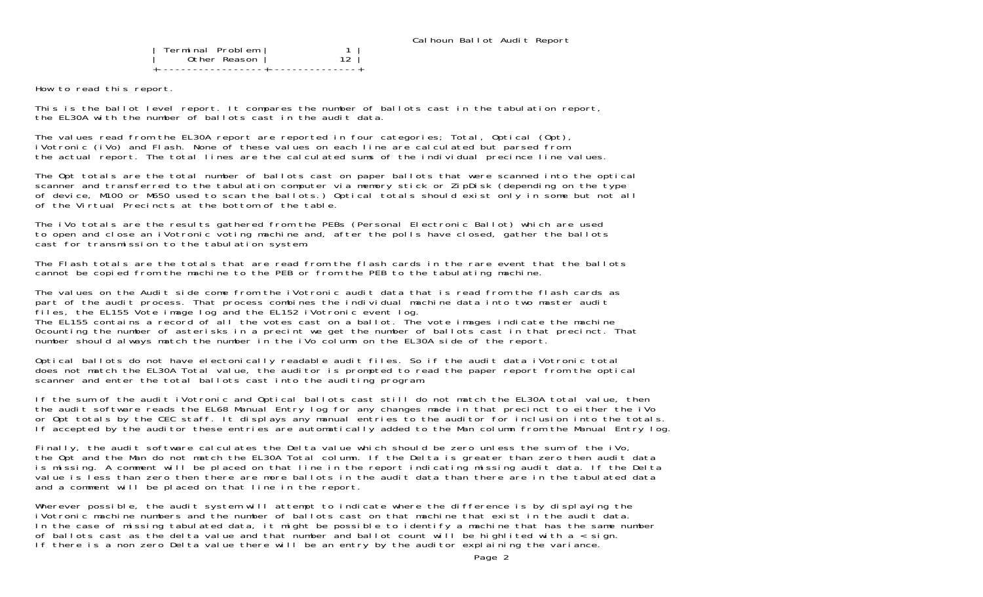| Terminal Problem | 1<br>| 0ther Reason | 12 Other Reason +------------------+---------------+

How to read this report.

This is the ballot level report. It compares the number of ballots cast in the tabulation report, the EL30A with the number of ballots cast in the audit data.

The values read from the EL30A report are reported in four categories; Total, Optical (Opt), iVotronic (iVo) and Flash. None of these values on each line are calculated but parsed from the actual report. The total lines are the calculated sums of the individual precince line values.

The Opt totals are the total number of ballots cast on paper ballots that were scanned into the optical scanner and transferred to the tabulation computer via memory stick or ZipDisk (depending on the type of device, M100 or M650 used to scan the ballots.) Optical totals should exist only in some but not all of the Virtual Precincts at the bottom of the table.

The iVo totals are the results gathered from the PEBs (Personal Electronic Ballot) which are used to open and close an iVotronic voting machine and, after the polls have closed, gather the ballots cast for transmission to the tabulation system.

The Flash totals are the totals that are read from the flash cards in the rare event that the ballots cannot be copied from the machine to the PEB or from the PEB to the tabulating machine.

The values on the Audit side come from the iVotronic audit data that is read from the flash cards as part of the audit process. That process combines the individual machine data into two master audit files, the EL155 Vote image log and the EL152 iVotronic event log. The EL155 contains a record of all the votes cast on a ballot. The vote images indicate the machine 0counting the number of asterisks in a precint we get the number of ballots cast in that precinct. That number should always match the number in the iVo column on the EL30A side of the report.

Optical ballots do not have electonically readable audit files. So if the audit data iVotronic total does not match the EL30A Total value, the auditor is prompted to read the paper report from the optical scanner and enter the total ballots cast into the auditing program.

If the sum of the audit iVotronic and Optical ballots cast still do not match the EL30A total value, then the audit software reads the EL68 Manual Entry log for any changes made in that precinct to either the iVo or Opt totals by the CEC staff. It displays any manual entries to the auditor for inclusion into the totals. If accepted by the auditor these entries are automatically added to the Man column from the Manual Entry log.

Finally, the audit software calculates the Delta value which should be zero unless the sum of the iVo, the Opt and the Man do not match the EL30A Total column. If the Delta is greater than zero then audit data is missing. A comment will be placed on that line in the report indicating missing audit data. If the Delta value is less than zero then there are more ballots in the audit data than there are in the tabulated data and a comment will be placed on that line in the report.

Wherever possible, the audit system will attempt to indicate where the difference is by displaying the iVotronic machine numbers and the number of ballots cast on that machine that exist in the audit data. In the case of missing tabulated data, it might be possible to identify a machine that has the same number of ballots cast as the delta value and that number and ballot count will be highlited with a < sign. If there is a non zero Delta value there will be an entry by the auditor explaining the variance.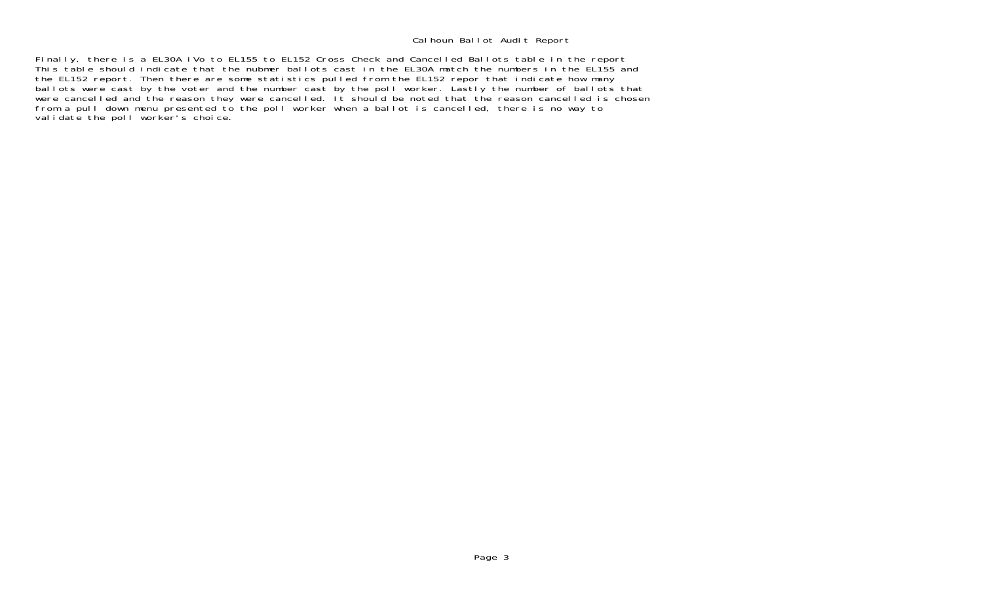## Calhoun Ballot Audit Report

Finally, there is a EL30A iVo to EL155 to EL152 Cross Check and Cancelled Ballots table in the report<br>This table should indicate that the nubmer ballots cast in the EL30A match the numbers in the EL155 and<br>the EL152 report ballots were cast by the voter and the number cast by the poll worker. Lastly the number of ballots that were cancelled and the reason they were cancelled. It should be noted that the reason cancelled is chosen from a pull down menu presented to the poll worker when a ballot is cancelled, there is no way to validate the poll worker's choice.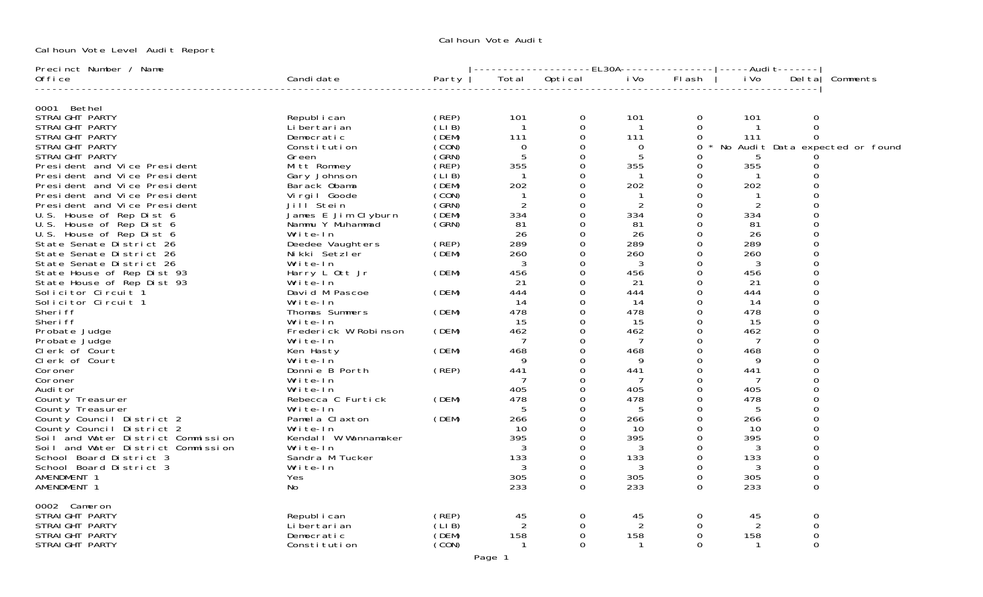Cal houn Vote Level Audit Report

#### Calhoun Vote Audit

| Precinct Number / Name             |                       |       |                       | -----------------EL30A----------------- -----Audi                             t------- |                |                         |             |                     |                                   |
|------------------------------------|-----------------------|-------|-----------------------|----------------------------------------------------------------------------------------|----------------|-------------------------|-------------|---------------------|-----------------------------------|
| 0ffi ce                            | Candi date            | Party | Total                 | Optical                                                                                | i Vo           | FI ash                  | i Vo        | Del tal             | Comments                          |
| 0001 Bethel                        |                       |       |                       |                                                                                        |                |                         |             |                     |                                   |
| STRAIGHT PARTY                     | Republ i can          | (REP) | 101                   | 0                                                                                      | 101            | 0                       | 101         | 0                   |                                   |
| STRAIGHT PARTY                     | Li bertari an         | (LIB) | $\mathbf{1}$          | $\Omega$                                                                               |                | $\Omega$                | $\mathbf 1$ | $\Omega$            |                                   |
| STRAIGHT PARTY                     | Democratic            | (DEM) | 111                   | $\Omega$                                                                               | 111            | $\Omega$                | 111         | $\Omega$            |                                   |
| STRAIGHT PARTY                     | Constitution          | (CON) | $\Omega$              | $\Omega$                                                                               | $\Omega$       | $\Omega$                |             |                     | * No Audit Data expected or found |
| STRAIGHT PARTY                     | Green                 | (GRN) | 5                     | $\Omega$                                                                               | 5              | 0                       | 5           |                     |                                   |
| President and Vice President       | Mitt Romney           | (REP) | 355                   | $\Omega$                                                                               | 355            | $\Omega$                | 355         |                     |                                   |
| President and Vice President       | Gary Johnson          | (LIB) | -1                    | 0                                                                                      |                | 0                       | -1          |                     |                                   |
| President and Vice President       | Barack Obama          | (DEM) | 202                   | 0                                                                                      | 202            | $\mathbf 0$             | 202         |                     |                                   |
| President and Vice President       | Vi rgi I Goode        | (CON) | 1                     |                                                                                        |                | 0                       | 1           |                     |                                   |
| President and Vice President       | Jill <sup>Stein</sup> | (GRN) | 2                     | $\mathbf 0$                                                                            | $\overline{2}$ | $\mathbf 0$             | 2           | 0                   |                                   |
| U.S. House of Rep Dist 6           | James E Jim Clyburn   | (DEM) | 334                   |                                                                                        | 334            | 0                       | 334         |                     |                                   |
| U.S. House of Rep Dist 6           | Nammu Y Muhammad      | (SRN) | 81                    | 0                                                                                      | -81            | 0                       | 81          | 0                   |                                   |
| U.S. House of Rep Dist 6           | Write-In              |       | 26                    | $\Omega$                                                                               | 26             | 0                       | 26          | 0                   |                                   |
| State Senate District 26           | Deedee Vaughters      | (REP) | 289                   | 0                                                                                      | 289            | 0                       | 289         | 0                   |                                   |
| State Senate District 26           | Nikki Setzler         | (DEM) | 260                   | $\Omega$                                                                               | 260            | $\Omega$                | 260         | 0                   |                                   |
| State Senate District 26           | Write-In              |       | 3                     | 0                                                                                      | 3              | 0                       | 3           | 0                   |                                   |
| State House of Rep Dist 93         | Harry L Ott Jr        | (DEM) | 456                   | $\Omega$                                                                               | 456            | $\Omega$                | 456         | 0                   |                                   |
| State House of Rep Dist 93         | Write-In              |       | 21                    | $\Omega$                                                                               | 21             | 0                       | 21          |                     |                                   |
| Solicitor Circuit 1                | David M Pascoe        | (DEM) | 444                   | $\Omega$                                                                               | 444            | $\Omega$                | 444         | $\Omega$            |                                   |
| Solicitor Circuit 1                | Write-In              |       | 14                    | $\Omega$                                                                               | 14             | $\Omega$                | 14          |                     |                                   |
| Sheri ff                           | Thomas Summers        | (DEM) | 478                   | $\Omega$                                                                               | 478            | $\Omega$                | 478         | $\Omega$<br>0       |                                   |
| Sheri ff                           | Write-In              |       | 15                    | $\Omega$                                                                               | 15             | $\Omega$                | 15          | 0                   |                                   |
| Probate Judge                      | Frederick W Robinson  | (DEM) | 462<br>$\overline{7}$ | $\Omega$                                                                               | 462<br>7       | $\Omega$<br>0           | 462         | 0                   |                                   |
| Probate Judge                      | Write-In              |       | 468                   |                                                                                        | 468            |                         | 7<br>468    | 0                   |                                   |
| Clerk of Court<br>Clerk of Court   | Ken Hasty<br>Write-In | (DEM) |                       | 0                                                                                      | 9              | $\mathbf 0$<br>0        | 9           | O                   |                                   |
| Coroner                            | Donnie B Porth        | (REP) | 441                   | $\mathbf 0$                                                                            | 441            | $\mathbf 0$             | 441         | 0                   |                                   |
| Coroner                            | Write-In              |       |                       |                                                                                        | 7              | $\Omega$                | 7           | O                   |                                   |
| Audi tor                           | Write-In              |       | 405                   | 0                                                                                      | 405            | 0                       | 405         | 0                   |                                   |
| County Treasurer                   | Rebecca C Furtick     | (DEM) | 478                   | $\Omega$                                                                               | 478            | $\Omega$                | 478         | 0                   |                                   |
| County Treasurer                   | Write-In              |       | -5                    | 0                                                                                      | 5              | 0                       | -5          | 0                   |                                   |
| County Council District 2          | Pamela Claxton        | (DEM) | 266                   | $\Omega$                                                                               | 266            | $\Omega$                | 266         | 0                   |                                   |
| County Council District 2          | Write-In              |       | 10                    | $\Omega$                                                                               | 10             | 0                       | 10          |                     |                                   |
| Soil and Water District Commission | Kendall W Wannamaker  |       | 395                   | $\Omega$                                                                               | 395            | $\Omega$                | 395         | 0                   |                                   |
| Soil and Water District Commission | Write-In              |       | 3                     | $\Omega$                                                                               | 3              | 0                       | 3           | 0                   |                                   |
| School Board District 3            | Sandra M Tucker       |       | 133                   | $\Omega$                                                                               | 133            | $\Omega$                | 133         | $\Omega$            |                                   |
| School Board District 3            | Write-In              |       | 3                     | $\Omega$                                                                               | 3              | $\Omega$                | 3           | 0                   |                                   |
| AMENDMENT 1                        | Yes                   |       | 305                   | $\Omega$                                                                               | 305            | 0                       | 305         | $\mathbf 0$         |                                   |
| AMENDMENT 1                        | No                    |       | 233                   | $\Omega$                                                                               | 233            | $\Omega$                | 233         | $\Omega$            |                                   |
| 0002 Cameron                       |                       |       |                       |                                                                                        |                |                         |             |                     |                                   |
| STRAIGHT PARTY                     | Republ i can          | (REP) | 45                    | 0                                                                                      | 45             | 0                       | 45          | 0                   |                                   |
| STRAIGHT PARTY                     | Li bertari an         | (LIB) | 2                     | 0                                                                                      | 2              | $\mathbf 0$             | 2           | $\mathbf 0$         |                                   |
| STRAIGHT PARTY                     | Democratic            | (DEM) | 158                   | $\mathbf 0$                                                                            | 158            | $\mathbf 0$<br>$\Omega$ | 158         | 0<br>$\overline{0}$ |                                   |
| STRAIGHT PARTY                     | Constitution          | (CON) |                       |                                                                                        |                |                         | -1          |                     |                                   |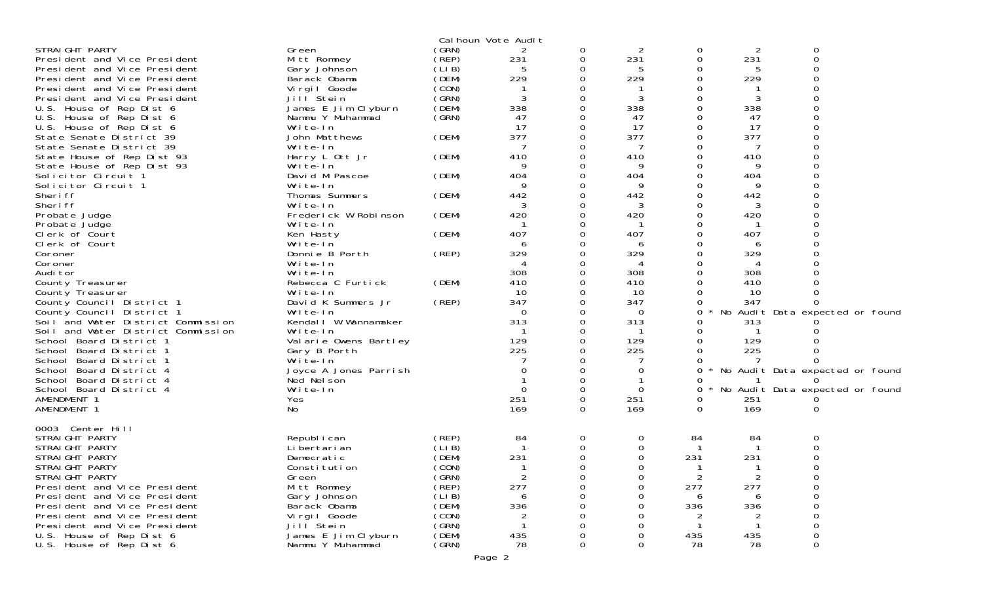|                                                        |                               |        | Cal houn Vote Audit |               |             |             |              |                                 |
|--------------------------------------------------------|-------------------------------|--------|---------------------|---------------|-------------|-------------|--------------|---------------------------------|
| STRAIGHT PARTY                                         | Green                         | (GRN)  | 2                   | 0             | 2           | 0           | 2            | 0                               |
| President and Vice President                           | Mitt Romney                   | (REP)  | 231                 | 0             | 231         | $\mathbf 0$ | 231          | $\mathbf 0$                     |
| President and Vice President                           | Gary Johnson                  | (LIB)  | 5                   | 0             | 5           | 0           | 5            | O                               |
| President and Vice President                           | Barack Obama                  | (DEM)  | 229                 | 0             | 229         | 0           | 229          | $\Omega$                        |
| President and Vice President                           | Virgil Goode                  | (CON)  |                     | 0             |             | 0           |              |                                 |
| President and Vice President                           | Jill <sup>Stein</sup>         | (GRN)  | 3                   | 0             | 3           | 0           | 3            |                                 |
| U.S. House of Rep Dist 6                               | James E Jim Clyburn           | (DEM)  | 338                 | 0             | 338         | 0           | 338          |                                 |
| U.S. House of Rep Dist 6                               | Nammu Y Muhammad              | (SRN)  | 47                  | 0             | 47          | 0           | 47           |                                 |
| U.S. House of Rep Dist 6                               | Write-In                      |        | 17                  | 0             | 17          | 0           | 17           |                                 |
| State Senate District 39                               | John Matthews                 | (DEM)  | 377                 | 0             | 377         | 0           | 377          |                                 |
| State Senate District 39                               | Write-In                      |        | 7                   | 0             | 7           | 0           | 7            |                                 |
| State House of Rep Dist 93                             | Harry L Ott Jr                | (DEM)  | 410                 | 0             | 410         | 0           | 410          |                                 |
| State House of Rep Dist 93                             | Write-In                      |        | 9                   | 0             | 9           | 0           | 9            |                                 |
| Solicitor Circuit 1                                    | David M Pascoe                | (DEM)  | 404                 | O             | 404         | $\Omega$    | 404          |                                 |
| Solicitor Circuit 1                                    | Write-In                      |        | 9                   | 0             | 9           | $\Omega$    | 9            |                                 |
| Sheri ff                                               | Thomas Summers                | (DEM)  | 442                 | 0             | 442         | 0           | 442          |                                 |
| Sheri ff                                               | Write-In                      |        | 3                   | 0             | 3           | 0           | 3            |                                 |
| Probate Judge                                          | Frederick W Robinson          | (DEM)  | 420                 | 0             | 420         | 0           | 420          |                                 |
| Probate Judge                                          | Write-In                      |        | -1                  | 0             | $\mathbf 1$ | 0           | $\mathbf{1}$ |                                 |
| Clerk of Court                                         | Ken Hasty                     | (DEM)  | 407                 | 0             | 407         | 0           | 407          |                                 |
| Clerk of Court                                         | Write-In                      |        | 6                   | 0             | 6           | Ω           | 6            |                                 |
| Coroner                                                | Donnie B Porth                | (REP)  | 329                 | 0             | 329         | 0           | 329          |                                 |
| Coroner                                                | Write-In                      |        | 4                   | 0<br>$\Omega$ | 4           | 0           | 4            |                                 |
| Audi tor                                               | Write-In                      |        | 308                 |               | 308         | $\Omega$    | 308          |                                 |
| County Treasurer                                       | Rebecca C Furtick<br>Write-In | (DEM)  | 410<br>10           | 0             | 410         | 0           | 410          |                                 |
| County Treasurer                                       | David K Summers Jr            | (REP)  | 347                 | 0<br>$\Omega$ | 10<br>347   | 0<br>0      | 10<br>347    |                                 |
| County Council District 1<br>County Council District 1 | Write-In                      |        | $\Omega$            | 0             | 0           | 0           |              | No Audit Data expected or found |
| Soil and Water District Commission                     | Kendall W Wannamaker          |        | 313                 | 0             | 313         | 0           | 313          |                                 |
| Soil and Water District Commission                     | Write-In                      |        |                     | $\Omega$      | $\mathbf 1$ | 0           |              |                                 |
| School Board District 1                                | Val arie Owens Bartley        |        | 129                 | $\Omega$      | 129         | 0           | 129          |                                 |
| School Board District 1                                | Gary B Porth                  |        | 225                 |               | 225         | 0           | 225          |                                 |
| School Board District 1                                | Write-In                      |        |                     | O             |             | $\Omega$    |              |                                 |
| School Board District 4                                | Joyce A Jones Parrish         |        | Ω                   | 0             | 0           | 0           |              | No Audit Data expected or found |
| School Board District 4                                | Ned Nel son                   |        |                     | 0             |             | Ω           |              |                                 |
| School Board District 4                                | Write-In                      |        | $\Omega$            | $\Omega$      | $\Omega$    | 0           |              | No Audit Data expected or found |
| AMENDMENT 1                                            | Yes                           |        | 251                 | 0             | 251         | 0           | 251          |                                 |
| AMENDMENT 1                                            | No                            |        | 169                 | 0             | 169         | 0           | 169          | 0                               |
|                                                        |                               |        |                     |               |             |             |              |                                 |
| 0003 Center Hill                                       |                               |        |                     |               |             |             |              |                                 |
| STRAIGHT PARTY                                         | Republ i can                  | (REP)  | 84                  | 0             | 0           | 84          | 84           | 0                               |
| STRAIGHT PARTY                                         | Li bertari an                 | (LIB)  | -1                  | 0             | 0           |             | -1           |                                 |
| STRAIGHT PARTY                                         | Democratic                    | (DEM)  | 231                 | 0             | 0           | 231         | 231          |                                 |
| STRAIGHT PARTY                                         | Constitution                  | (CON)  |                     | $\Omega$      | 0           |             |              | $\Omega$                        |
| SIRAIGHI PARIY                                         | Green                         | (GRN)  | $\overline{2}$      | 0             | 0           |             |              | 0                               |
| President and Vice President                           | Mitt Romney                   | (REP)  | 277                 | 0             | 0           | 277         | 277          | $\mathbf 0$                     |
| President and Vice President                           | Gary Johnson                  | (LI B) | 6                   | 0             | 0           | 6           |              | 0                               |
| President and Vice President                           | Barack Obama                  | (DEM)  | 336                 | 0             | 0           | 336         | 336          | 0                               |
| President and Vice President                           | Virgil Goode                  | (CON)  | 2                   | 0             | 0           |             |              | 0                               |
| President and Vice President                           | Jill <sup>Stein</sup>         | (GRN)  |                     | 0             | 0           |             |              | 0                               |
| U.S. House of Rep Dist 6                               | James E Jim Clyburn           | (DEM)  | 435                 | 0             | 0           | 435         | 435          | 0                               |
| U.S. House of Rep Dist 6                               | Nammu Y Muhammad              | (GRN)  | 78                  | 0             | 0           | 78          | 78           | 0                               |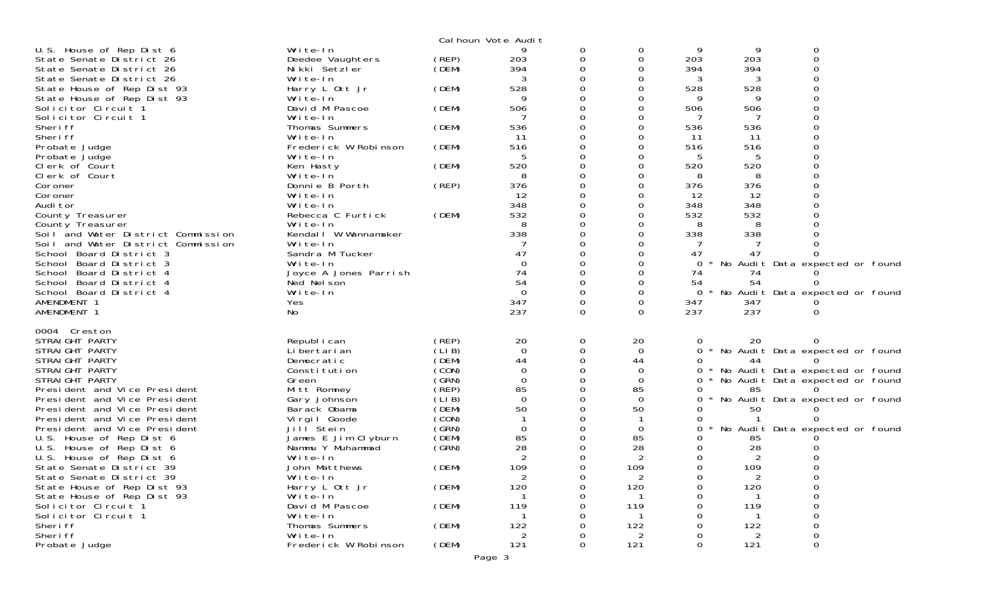|                                    |                       |       | Calhoun Vote Audit |          |                |              |     |                                     |  |
|------------------------------------|-----------------------|-------|--------------------|----------|----------------|--------------|-----|-------------------------------------|--|
| U.S. House of Rep Dist 6           | Write-In              |       | 9                  | 0        | 0              | 9            | 9   | 0                                   |  |
| State Senate District 26           | Deedee Vaughters      | (REP) | 203                | 0        | 0              | 203          | 203 | $\Omega$                            |  |
| State Senate District 26           | Nikki Setzler         | (DEM) | 394                | 0        | 0              | 394          | 394 |                                     |  |
| State Senate District 26           | Write-In              |       | 3                  | 0        | 0              | 3            | 3   | 0                                   |  |
| State House of Rep Dist 93         | Harry L Ott Jr        | (DEM) | 528                | 0        | 0              | 528          | 528 |                                     |  |
| State House of Rep Dist 93         | Write-In              |       | 9                  | $\Omega$ | 0              | 9            | 9   | O                                   |  |
| Solicitor Circuit 1                | David M Pascoe        | (DEM) | 506                | 0        | 0              | 506          | 506 |                                     |  |
| Solicitor Circuit 1                | Write-In              |       |                    | 0        | 0              |              |     |                                     |  |
| Sheri ff                           | Thomas Summers        | (DEM) | 536                | $\Omega$ | 0              | 536          | 536 |                                     |  |
| Sheri ff                           | Write-In              |       | 11                 | 0        | 0              | 11           | 11  |                                     |  |
| Probate Judge                      | Frederick W Robinson  | (DEM) | 516                | 0        | 0              | 516          | 516 |                                     |  |
| Probate Judge                      | Write-In              |       | 5                  | 0        | 0              | 5            | 5   |                                     |  |
| Clerk of Court                     | Ken Hasty             | (DEM) | 520                | 0        | 0              | 520          | 520 |                                     |  |
| Clerk of Court                     | Write-In              |       | 8                  | 0        | 0              | 8            | 8   |                                     |  |
| Coroner                            | Donnie B Porth        | (REP) | 376                | 0        | 0              | 376          | 376 |                                     |  |
|                                    |                       |       | 12                 |          |                | 12           | 12  |                                     |  |
| Coroner                            | Write-In              |       |                    | 0        | 0              |              |     |                                     |  |
| Audi tor                           | Write-In              |       | 348                | 0        | 0              | 348          | 348 |                                     |  |
| County Treasurer                   | Rebecca C Furtick     | (DEM) | 532                | 0        | 0              | 532          | 532 |                                     |  |
| County Treasurer                   | Write-In              |       | 8                  | 0        | 0              | 8            | 8   |                                     |  |
| Soil and Water District Commission | Kendall W Wannamaker  |       | 338                | 0        | 0              | 338          | 338 |                                     |  |
| Soil and Water District Commission | Write-In              |       |                    | $\Omega$ | 0              |              |     |                                     |  |
| School Board District 3            | Sandra M Tucker       |       | 47                 | 0        | 0              | 47           | 47  |                                     |  |
| School Board District 3            | Write-In              |       | $\Omega$           | 0        | 0              | $\star$<br>0 |     | No Audit Data expected or found     |  |
| School Board District 4            | Joyce A Jones Parrish |       | 74                 | $\Omega$ | 0              | 74           | 74  |                                     |  |
| School Board District 4            | Ned Nel son           |       | 54                 | 0        | 0              | 54           | 54  |                                     |  |
| School Board District 4            | Write-In              |       | $\Omega$           | 0        | 0              |              |     | 0 * No Audit Data expected or found |  |
| AMENDMENT 1                        | Yes                   |       | 347                | 0        | 0              | 347          | 347 |                                     |  |
| AMENDMENT 1                        | No                    |       | 237                | $\Omega$ | $\Omega$       | 237          | 237 | 0                                   |  |
|                                    |                       |       |                    |          |                |              |     |                                     |  |
| 0004 Creston                       |                       |       |                    |          |                |              |     |                                     |  |
| STRAIGHT PARTY                     | Republ i can          | (REP) | 20                 | 0        | 20             | 0            | 20  |                                     |  |
| STRAIGHT PARTY                     | Li bertari an         | (LIB) | $\mathbf 0$        | 0        | $\overline{0}$ |              |     | 0 * No Audit Data expected or found |  |
| STRAIGHT PARTY                     | Democratic            | (DEM) | 44                 | $\Omega$ | 44             | 0            | 44  |                                     |  |
| STRAIGHT PARTY                     | Constitution          | (CON) | $\mathbf 0$        | 0        | 0              | 0            |     | * No Audit Data expected or found   |  |
| STRAIGHT PARTY                     | Green                 | (GRN) | $\mathbf 0$        | 0        | 0              | O            |     | No Audit Data expected or found     |  |
| President and Vice President       | Mitt Romney           | (REP) | 85                 | 0        | 85             | O            | 85  |                                     |  |
| President and Vice President       | Gary Johnson          | (LIB) | $\mathbf 0$        | 0        | $\Omega$       | 0            |     | No Audit Data expected or found     |  |
| President and Vice President       | Barack Obama          | (DEM) | 50                 | 0        | 50             | 0            | 50  |                                     |  |
| President and Vice President       | Virgil Goode          | (CON) |                    | 0        |                |              |     |                                     |  |
| President and Vice President       | Jill Stein            | (SRN) | $\mathbf 0$        | 0        | 0              | 0            |     | No Audit Data expected or found     |  |
| U.S. House of Rep Dist 6           | James E Jim Clyburn   | (DEM) | 85                 | 0        | 85             |              | 85  |                                     |  |
| House of Rep Dist 6<br>U.S.        | Nammu Y Muhammad      | (SRN) | 28                 | 0        | 28             | Ω            | 28  |                                     |  |
| U.S.<br>House of Rep Dist 6        | Write-In              |       |                    | 0        | 2              |              |     |                                     |  |
| State Senate District 39           | John Matthews         | (DEM) | 109                | 0        | 109            | 0            | 109 |                                     |  |
| State Senate District 39           | Write-In              |       | $\mathbf{z}$       | $\cup$   | 2              | 0            | 2   | O                                   |  |
| State House of Rep Dist 93         | Harry L Ott Jr        | (DEM) | 120                | 0        | 120            | 0            | 120 | 0                                   |  |
| State House of Rep Dist 93         | Write-In              |       |                    | Ω        |                |              |     | 0                                   |  |
| Solicitor Circuit 1                | David M Pascoe        | (DEM) | 119                | Ω        | 119            | 0            | 119 | 0                                   |  |
| Solicitor Circuit 1                | Write-In              |       |                    | Ω        |                | O            | -1  | 0                                   |  |
| Sheri ff                           | Thomas Summers        | (DEM) | 122                | O        | 122            | O            | 122 | 0                                   |  |
| Sheri ff                           | Write-In              |       | 2                  | 0        | 2              | 0            | 2   | 0                                   |  |
| Probate Judge                      | Frederick W Robinson  | (DEM) | 121                | 0        | 121            | 0            | 121 | 0                                   |  |
|                                    |                       |       |                    |          |                |              |     |                                     |  |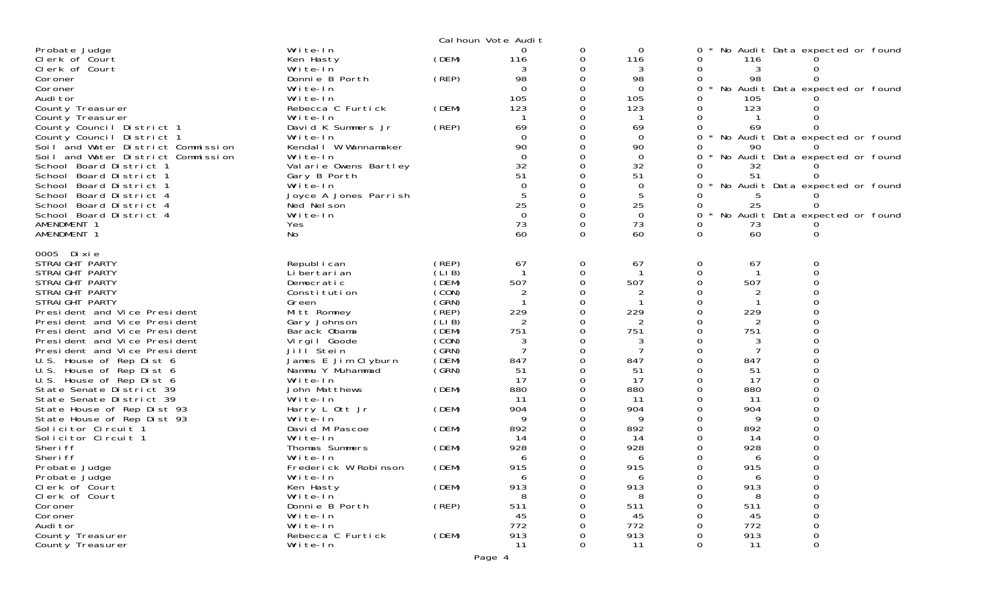|                                                                                                                                                                                                                                                                                                                                                                                                                                                                                                                                                                                                                                                                                                    |                                                                                                                                                                                                                                                                                                                                                                                                                                                                         |                                                                                                                                                                                  | Cal houn Vote Audit                                                                                                                                                                     |                                                                                                                                     |                                                                                                                                                                                                   |                                                                                                                                |                                                                                                                                                                 |                                                                                                                                                                                                                     |
|----------------------------------------------------------------------------------------------------------------------------------------------------------------------------------------------------------------------------------------------------------------------------------------------------------------------------------------------------------------------------------------------------------------------------------------------------------------------------------------------------------------------------------------------------------------------------------------------------------------------------------------------------------------------------------------------------|-------------------------------------------------------------------------------------------------------------------------------------------------------------------------------------------------------------------------------------------------------------------------------------------------------------------------------------------------------------------------------------------------------------------------------------------------------------------------|----------------------------------------------------------------------------------------------------------------------------------------------------------------------------------|-----------------------------------------------------------------------------------------------------------------------------------------------------------------------------------------|-------------------------------------------------------------------------------------------------------------------------------------|---------------------------------------------------------------------------------------------------------------------------------------------------------------------------------------------------|--------------------------------------------------------------------------------------------------------------------------------|-----------------------------------------------------------------------------------------------------------------------------------------------------------------|---------------------------------------------------------------------------------------------------------------------------------------------------------------------------------------------------------------------|
| Probate Judge<br>Clerk of Court<br>Clerk of Court<br>Coroner<br>Coroner<br>Audi tor<br>County Treasurer<br>County Treasurer<br>County Council District 1<br>County Council District 1<br>Soil and Water District Commission<br>Soil and Water District Commission<br>School Board District 1<br>School Board District 1<br>School Board District 1<br>School Board District 4<br>School Board District 4<br>School Board District 4<br>AMENDMENT 1<br>AMENDMENT 1                                                                                                                                                                                                                                  | Write-In<br>Ken Hasty<br>Write-In<br>Donnie B Porth<br>Write-In<br>Write-In<br>Rebecca C Furtick<br>Write-In<br>David K Summers Jr<br>Write-In<br>Kendall W Wannamaker<br>Write-In<br>Val arie Owens Bartley<br>Gary B Porth<br>Write-In<br>Joyce A Jones Parrish<br>Ned Nelson<br>Write-In<br>Yes<br>No.                                                                                                                                                               | (DEM)<br>(REP)<br>(DEM)<br>(REP)                                                                                                                                                 | 0<br>116<br>3<br>98<br>$\Omega$<br>105<br>123<br>69<br>$\Omega$<br>90<br>$\Omega$<br>32<br>51<br>$\Omega$<br>25<br>$\overline{0}$<br>73<br>60                                           | 0<br>0<br>0<br>0<br>0<br>0<br>0<br>0<br>0<br>0<br>0<br>0<br>0<br>0<br>0<br>0<br>0<br>0<br>0                                         | 0<br>116<br>3<br>98<br>$\Omega$<br>105<br>123<br>-1<br>69<br>$\mathbf 0$<br>90<br>$\mathbf 0$<br>32<br>51<br>$\mathbf 0$<br>5<br>25<br>$\mathbf 0$<br>73<br>60                                    | 0<br>0<br>0<br>0<br>0<br>O<br>0<br>Ω<br>0<br>0<br>O<br>0<br>O<br>0<br>Ω<br>0<br>O<br>$\Omega$                                  | 116<br>98<br>105<br>123<br>69<br>90<br>32<br>51<br>5<br>25<br>73<br>60                                                                                          | No Audit Data expected or found<br>No Audit Data expected or found<br>No Audit Data expected or found<br>No Audit Data expected or found<br>No Audit Data expected or found<br>No Audit Data expected or found<br>0 |
| 0005 Dixie<br>STRAIGHT PARTY<br>STRAIGHT PARTY<br>STRAIGHT PARTY<br>STRAIGHT PARTY<br>STRAIGHT PARTY<br>President and Vice President<br>President and Vice President<br>President and Vice President<br>President and Vice President<br>President and Vice President<br>U.S. House of Rep Dist 6<br>U.S. House of Rep Dist 6<br>U.S. House of Rep Dist 6<br>State Senate District 39<br>State Senate District 39<br>State House of Rep Dist 93<br>State House of Rep Dist 93<br>Solicitor Circuit 1<br>Solicitor Circuit 1<br>Sheri ff<br>Sheri ff<br>Probate Judge<br>Probate Judge<br>Clerk of Court<br>Clerk of Court<br>Coroner<br>Coroner<br>Audi tor<br>County Treasurer<br>County Treasurer | Republ i can<br>Li bertari an<br>Democratic<br>Constitution<br>Green<br>Mitt Romney<br>Gary Johnson<br>Barack Obama<br>Virgil Goode<br>Jill Stein<br>James E Jim Clyburn<br>Nammu Y Muhammad<br>Write-In<br>John Matthews<br>Write-In<br>Harry L Ott Jr<br>Write-In<br>David M Pascoe<br>Write-In<br>Thomas Summers<br>Write-In<br>Frederick W Robinson<br>Write-In<br>Ken Hasty<br>Write-In<br>Donnie B Porth<br>Write-In<br>Write-In<br>Rebecca C Furtick<br>Write-In | (REP)<br>(LIB)<br>(DEM)<br>(CON)<br>(GRN)<br>(REF)<br>(LIB)<br>(DEM)<br>(CON)<br>(SRN)<br>(DEM)<br>(GRN)<br>(DEM)<br>(DEM)<br>(DEM)<br>(DEM)<br>(DEM)<br>(DEM)<br>(REP)<br>(DEM) | 67<br>-1<br>507<br>2<br>229<br>751<br>3<br>$\overline{7}$<br>847<br>51<br>17<br>880<br>11<br>904<br>9<br>892<br>14<br>928<br>6<br>915<br>6<br>913<br>8<br>511<br>45<br>772<br>913<br>11 | 0<br>0<br>0<br>0<br>0<br>0<br>0<br>0<br>0<br>0<br>0<br>0<br>0<br>0<br>0<br>0<br>0<br>0<br>0<br>0<br>∩<br>0<br>0<br>ი<br>0<br>0<br>0 | 67<br>$\mathbf{1}$<br>507<br>1<br>229<br>751<br>3<br>$\overline{7}$<br>847<br>51<br>17<br>880<br>11<br>904<br>9<br>892<br>14<br>928<br>6<br>915<br>6<br>913<br>8<br>511<br>45<br>772<br>913<br>11 | 0<br>0<br>0<br>0<br>0<br>0<br>0<br>0<br>0<br>0<br>0<br>0<br>0<br>0<br>0<br>0<br>0<br>0<br>0<br>∩<br>0<br>0<br>Ω<br>Ω<br>0<br>0 | 67<br>507<br>229<br>751<br>3<br>7<br>847<br>51<br>17<br>880<br>11<br>904<br>9<br>892<br>14<br>928<br>6<br>915<br>6<br>913<br>8<br>511<br>45<br>772<br>913<br>11 | 0<br>0<br>∩<br>∩<br>$\mathbf 0$<br>$\mathbf 0$<br>0<br>0<br>Ω<br>0<br>0<br>0                                                                                                                                        |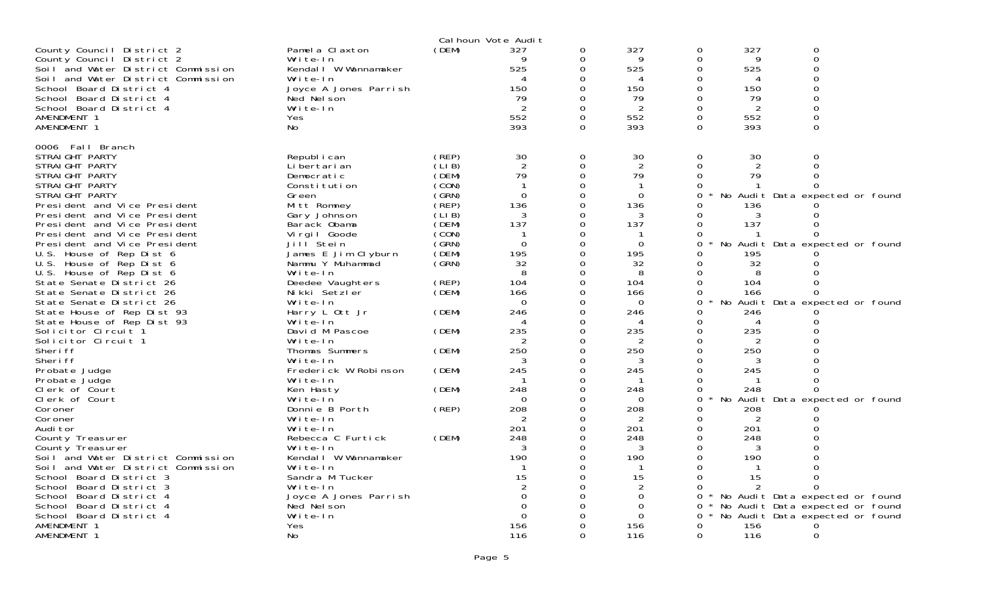|                                                                                                                                                                                                                                                                            |                                                                                                                                                     |                                                                                        | Cal houn Vote Audit                                                                               |                                                                                                    |                                                                      |                                                                                               |                                                       |                                                                                                              |
|----------------------------------------------------------------------------------------------------------------------------------------------------------------------------------------------------------------------------------------------------------------------------|-----------------------------------------------------------------------------------------------------------------------------------------------------|----------------------------------------------------------------------------------------|---------------------------------------------------------------------------------------------------|----------------------------------------------------------------------------------------------------|----------------------------------------------------------------------|-----------------------------------------------------------------------------------------------|-------------------------------------------------------|--------------------------------------------------------------------------------------------------------------|
| County Council District 2<br>County Council District 2<br>Soil and Water District Commission<br>Soil and Water District Commission<br>School Board District 4<br>School Board District 4<br>School Board District 4<br>AMENDMENT 1<br>AMENDMENT 1                          | Pamela Claxton<br>Write-In<br>Kendall W Wannamaker<br>Write-In<br>Joyce A Jones Parrish<br>Ned Nel son<br>Write-In<br>Yes<br>No                     | (DEM)                                                                                  | 327<br>9<br>525<br>4<br>150<br>79<br>$\overline{2}$<br>552<br>393                                 | 0<br>0<br>$\Omega$<br>0<br>$\Omega$<br>0<br>$\Omega$<br>$\Omega$<br>$\Omega$                       | 327<br>9<br>525<br>$\overline{4}$<br>150<br>79<br>2<br>552<br>393    | $\mathbf 0$<br>0<br>$\Omega$<br>0<br>$\Omega$<br>$\Omega$<br>$\Omega$<br>$\Omega$<br>$\Omega$ | 327<br>9<br>525<br>4<br>150<br>79<br>2<br>552<br>393  | $\mathbf 0$<br>0<br>U<br>$\Omega$<br>$\Omega$<br>$\Omega$                                                    |
| 0006 Fall Branch<br>STRAIGHT PARTY<br>STRAIGHT PARTY<br>STRAIGHT PARTY<br>STRAIGHT PARTY<br>STRAIGHT PARTY<br>President and Vice President<br>President and Vice President<br>President and Vice President<br>President and Vice President<br>President and Vice President | Republ i can<br>Li bertari an<br>Democratic<br>Constitution<br>Green<br>Mitt Romney<br>Gary Johnson<br>Barack Obama<br>Vi rgi I Goode<br>Jill Stein | (REP)<br>(LIB)<br>(DEM)<br>(CON)<br>(GRN)<br>(REP)<br>(LIB)<br>(DEM)<br>(CON)<br>(GRN) | 30<br>2<br>79<br>$\mathbf{1}$<br>$\overline{0}$<br>136<br>3<br>137<br>$\mathbf{1}$<br>$\mathbf 0$ | 0<br>0<br>$\Omega$<br>$\Omega$<br>$\mathbf 0$<br>$\Omega$<br>0<br>$\Omega$<br>$\Omega$<br>$\Omega$ | 30<br>2<br>79<br>-1<br>$\Omega$<br>136<br>3<br>137<br>-1<br>$\Omega$ | 0<br>0<br>0<br>0<br>0<br>$\Omega$<br>0                                                        | 30<br>2<br>79<br>136<br>3<br>137                      | 0<br>$\Omega$<br>No Audit Data expected or found<br>0<br>No Audit Data expected or found                     |
| U.S. House of Rep Dist 6<br>U.S. House of Rep Dist 6<br>U.S. House of Rep Dist 6<br>State Senate District 26<br>State Senate District 26<br>State Senate District 26<br>State House of Rep Dist 93<br>State House of Rep Dist 93                                           | James E Jim Clyburn<br>Nammu Y Muhammad<br>Write-In<br>Deedee Vaughters<br>Nikki Setzler<br>Write-In<br>Harry L Ott Jr<br>Write-In                  | (DEM)<br>(SRN)<br>(REP)<br>(DEM)<br>(DEM)                                              | 195<br>32<br>8<br>104<br>166<br>$\Omega$<br>246<br>4                                              | $\Omega$<br>$\Omega$<br>$\Omega$<br>0<br>0<br>O<br>0<br>$\Omega$                                   | 195<br>32<br>8<br>104<br>166<br>$\Omega$<br>246<br>4                 | 0<br>$\Omega$<br>$\Omega$<br>0<br>$\Omega$<br>0<br>0                                          | 195<br>32<br>8<br>104<br>166<br>246<br>$\overline{4}$ | No Audit Data expected or found<br>O                                                                         |
| Solicitor Circuit 1<br>Solicitor Circuit 1<br>Sheri ff<br>Sheri ff<br>Probate Judge<br>Probate Judge<br>Clerk of Court<br>Clerk of Court<br>Coroner                                                                                                                        | David M Pascoe<br>Write-In<br>Thomas Summers<br>Write-In<br>Frederick W Robinson<br>Write-In<br>Ken Hasty<br>Write-In<br>Donnie B Porth             | (DEM)<br>(DEM)<br>(DEM)<br>(DEM)<br>(REP)                                              | 235<br>250<br>3<br>245<br>$\mathbf{1}$<br>248<br>$\Omega$<br>208                                  | 0<br>$\Omega$<br>$\Omega$<br>$\Omega$<br>0<br>$\Omega$<br>0<br>$\Omega$                            | 235<br>250<br>3<br>245<br>$\mathbf{1}$<br>248<br>$\Omega$<br>208     | 0<br>$\Omega$<br>$\Omega$<br>$\Omega$<br>$\Omega$<br>$\Omega$<br>$\overline{O}$<br>0          | 235<br>250<br>3<br>245<br>248<br>208                  | ∩<br>No Audit Data expected or found                                                                         |
| Coroner<br>Audi tor<br>County Treasurer<br>County Treasurer<br>Soil and Water District Commission<br>Soil and Water District Commission<br>School Board District 3<br>School Board District 3                                                                              | Write-In<br>Write-In<br>Rebecca C Furtick<br>Write-In<br>Kendall W Wannamaker<br>Write-In<br>Sandra M Tucker<br>Write-In                            | (DEM)                                                                                  | $\overline{2}$<br>201<br>248<br>3<br>190<br>$\mathbf{1}$<br>15<br>2                               | 0<br>0<br>$\Omega$<br>$\Omega$<br>$\Omega$<br>0<br>$\Omega$                                        | 2<br>201<br>248<br>3<br>190<br>$\mathbf{1}$<br>15<br>2               | 0<br>0<br>$\Omega$<br>0<br>$\Omega$                                                           | 2<br>201<br>248<br>3<br>190<br>15                     |                                                                                                              |
| School Board District 4<br>School Board District 4<br>School Board District 4<br>AMENDMENT 1<br>AMENDMENT 1                                                                                                                                                                | Joyce A Jones Parrish<br>Ned Nel son<br>Write-In<br>Yes<br>No.                                                                                      |                                                                                        | $\Omega$<br>$\Omega$<br>$\Omega$<br>156<br>116                                                    | $\Omega$<br>$\Omega$<br>$\Omega$<br>0                                                              | 0<br>0<br>$\Omega$<br>156<br>116                                     | 0<br>0<br>0<br>$\Omega$<br>0                                                                  | 156<br>116                                            | No Audit Data expected or found<br>No Audit Data expected or found<br>* No Audit Data expected or found<br>0 |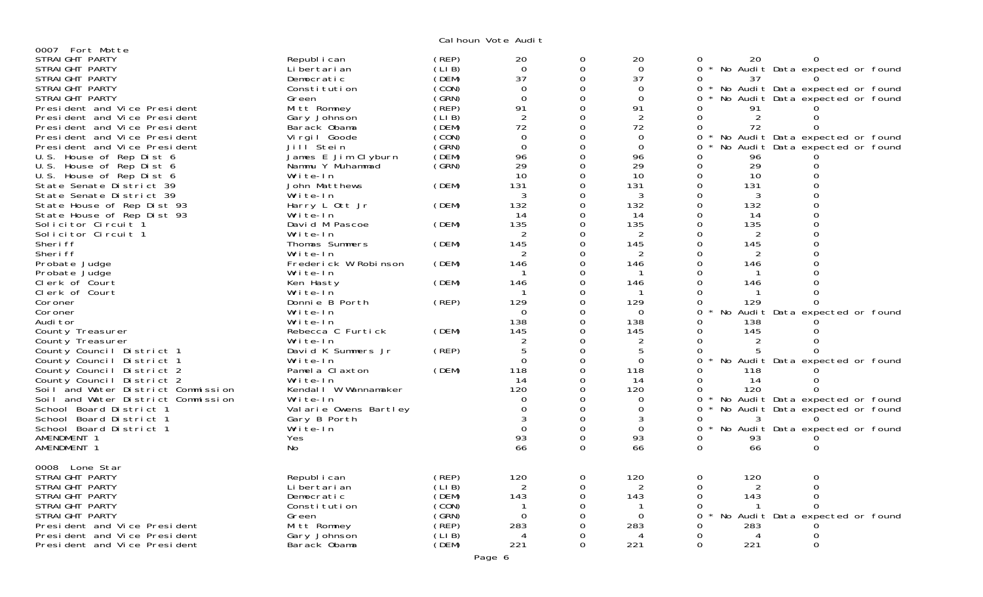|                                                              |                                         |                   | varnoan vote naart         |                      |                            |               |                                                                    |  |
|--------------------------------------------------------------|-----------------------------------------|-------------------|----------------------------|----------------------|----------------------------|---------------|--------------------------------------------------------------------|--|
| 0007 Fort Motte<br>STRAIGHT PARTY                            | Republ i can                            | (REP)             | 20                         | 0                    | 20                         | 0             | 20<br>0                                                            |  |
| STRAIGHT PARTY                                               | Li bertari an                           | CLIB <sub>)</sub> | $\mathbf 0$                | 0                    | $\mathbf 0$                | $\Omega$      | * No Audit Data expected or found                                  |  |
| STRAIGHT PARTY                                               | Democratic                              | (DEM)             | 37                         | $\Omega$             | 37                         | $\Omega$      | 37                                                                 |  |
| STRAIGHT PARTY                                               | Constitution                            | (CON)             | $\overline{0}$             | $\mathbf 0$          | $\Omega$                   | $\Omega$      | * No Audit Data expected or found                                  |  |
| STRAIGHT PARTY                                               | Green                                   | (GRN)             | $\overline{0}$             | 0                    | $\Omega$                   | 0             | No Audit Data expected or found                                    |  |
| President and Vice President                                 | Mitt Romney                             | (REF)             | 91                         | 0                    | 91                         |               | 91                                                                 |  |
| President and Vice President                                 | Gary Johnson                            | (LIB)             | $\overline{2}$             | $\mathbf 0$          | $\overline{2}$             | $\Omega$      | 2<br>0                                                             |  |
| President and Vice President                                 | Barack Obama                            | (DEM)             | 72                         | $\Omega$             | 72                         | $\Omega$      | 72<br>0                                                            |  |
| President and Vice President<br>President and Vice President | Vi rgi I Goode<br>Jill <sup>Stein</sup> | (CON)<br>(GRN)    | $\mathbf 0$<br>$\mathbf 0$ | 0<br>$\Omega$        | $\Omega$<br>$\overline{0}$ | 0<br>0        | No Audit Data expected or found<br>No Audit Data expected or found |  |
| U.S. House of Rep Dist 6                                     | James E Jim Clyburn                     | (DEM)             | 96                         | 0                    | 96                         | $\Omega$      | 96                                                                 |  |
| U.S. House of Rep Dist 6                                     | Nammu Y Muhammad                        | (GRN)             | 29                         | 0                    | 29                         | 0             | 29                                                                 |  |
| U.S. House of Rep Dist 6                                     | Write-In                                |                   | 10                         | $\Omega$             | 10                         | $\Omega$      | 10                                                                 |  |
| State Senate District 39                                     | John Matthews                           | (DEM)             | 131                        | 0                    | 131                        | $\mathbf 0$   | 131                                                                |  |
| State Senate District 39                                     | Write-In                                |                   | 3                          | $\Omega$             | 3                          | $\Omega$      | 3                                                                  |  |
| State House of Rep Dist 93                                   | Harry L Ott Jr                          | (DEM)             | 132                        | 0                    | 132                        | $\Omega$      | 132                                                                |  |
| State House of Rep Dist 93                                   | Write-In                                |                   | 14                         | 0                    | 14                         | 0             | 14                                                                 |  |
| Solicitor Circuit 1                                          | David M Pascoe                          | (DEM)             | 135                        | $\Omega$             | 135                        | $\Omega$      | 135                                                                |  |
| Solicitor Circuit 1                                          | Write-In                                |                   | $\overline{2}$             | 0                    | 2                          | 0             | 2                                                                  |  |
| Sheri ff                                                     | Thomas Summers                          | (DEM)             | 145                        | $\Omega$             | 145                        | $\mathbf{O}$  | 145                                                                |  |
| Sheri ff                                                     | Write-In<br>Frederick W Robinson        | (DEM)             | $\overline{2}$<br>146      | 0<br>$\Omega$        | 2<br>146                   | 0<br>$\Omega$ | $\overline{2}$<br>146                                              |  |
| Probate Judge<br>Probate Judge                               | Write-In                                |                   |                            | 0                    | -1                         | $\Omega$      | -1                                                                 |  |
| Clerk of Court                                               | Ken Hasty                               | (DEM)             | 146                        | 0                    | 146                        | 0             | 146                                                                |  |
| Clerk of Court                                               | Write-In                                |                   |                            | $\Omega$             | -1                         | $\Omega$      |                                                                    |  |
| Coroner                                                      | Donnie B Porth                          | (REP)             | 129                        | 0                    | 129                        | 0             | 129<br><sup>n</sup>                                                |  |
| Coroner                                                      | Write-In                                |                   | $\Omega$                   | 0                    | $\Omega$                   | $\Omega$      | No Audit Data expected or found                                    |  |
| Audi tor                                                     | Write-In                                |                   | 138                        | 0                    | 138                        | 0             | 138                                                                |  |
| County Treasurer                                             | Rebecca C Furtick                       | (DEM)             | 145                        | $\Omega$             | 145                        | 0             | 145                                                                |  |
| County Treasurer                                             | Write-In                                |                   | 2                          | $\Omega$             | 2                          | $\Omega$      | 2                                                                  |  |
| County Council District 1                                    | David K Summers Jr                      | (REP)             | 5                          | 0                    | 5                          | $\Omega$      |                                                                    |  |
| County Council District 1                                    | Write-In<br>Pamel a Claxton             | (DEM)             | $\Omega$<br>118            | $\Omega$<br>$\Omega$ | $\Omega$<br>118            | 0<br>0        | No Audit Data expected or found<br>118                             |  |
| County Council District 2<br>County Council District 2       | Write-In                                |                   | 14                         | $\Omega$             | 14                         | $\Omega$      | 14<br>O                                                            |  |
| Soil and Water District Commission                           | Kendall W Wannamaker                    |                   | 120                        | $\Omega$             | 120                        | $\Omega$      | 120<br>$\Omega$                                                    |  |
| Soil and Water District Commission                           | Write-In                                |                   | $\Omega$                   | $\Omega$             | $\Omega$                   | $\Omega$      | * No Audit Data expected or found                                  |  |
| School Board District 1                                      | Valarie Owens Bartley                   |                   | $\Omega$                   | $\Omega$             | $\Omega$                   | 0             | * No Audit Data expected or found                                  |  |
| School Board District 1                                      | Gary B Porth                            |                   |                            | $\mathbf 0$          | 3                          |               | 3                                                                  |  |
| School Board District 1                                      | Write-In                                |                   | $\Omega$                   | $\Omega$             | $\Omega$                   | $\Omega$      | No Audit Data expected or found                                    |  |
| AMENDMENT 1                                                  | Yes                                     |                   | 93                         | 0                    | 93                         | 0             | 93                                                                 |  |
| AMENDMENT 1                                                  | No                                      |                   | 66                         | $\Omega$             | 66                         | $\Omega$      | 66<br>$\Omega$                                                     |  |
|                                                              |                                         |                   |                            |                      |                            |               |                                                                    |  |
| 0008 Lone Star<br>STRAIGHT PARTY                             | Republ i can                            | (REP)             | 120                        | 0                    | 120                        | 0             | 120<br>0                                                           |  |
| STRAIGHT PARTY                                               | Li bertari an                           | (LIB)             | 2                          | 0                    | 2                          | 0             | 0<br>2                                                             |  |
| STRAIGHT PARTY                                               | Democratic                              | (DEM)             | 143                        | 0                    | 143                        | 0             | $\Omega$<br>143                                                    |  |
| STRAIGHT PARTY                                               | Constitution                            | (CON)             |                            | 0                    |                            | $\Omega$      | <sup>o</sup>                                                       |  |
| STRAIGHT PARTY                                               | Green                                   | (GRN)             | $\Omega$                   | 0                    | $\Omega$                   | $\Omega$      | No Audit Data expected or found                                    |  |
| President and Vice President                                 | Mitt Romney                             | (REF)             | 283                        | $\Omega$             | 283                        | 0             | 283                                                                |  |
| President and Vice President                                 | Gary Johnson                            | (LIB)             | 4                          | $\Omega$             | 4                          | 0             | 4                                                                  |  |
| President and Vice President                                 | Barack Obama                            | (DEM)             | 221                        | 0                    | 221                        | 0             | 221<br>$\Omega$                                                    |  |

Page 6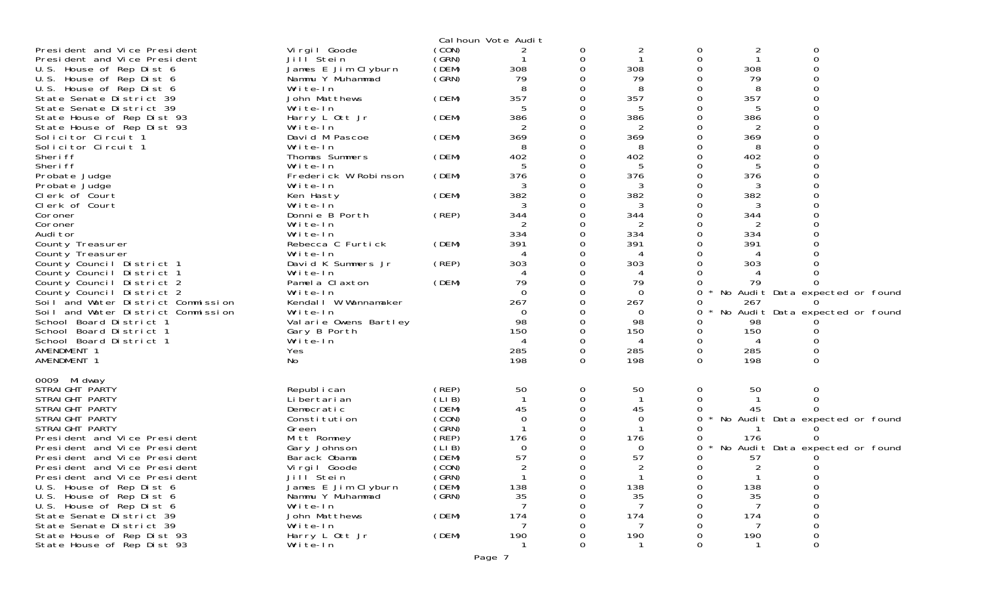| President and Vice President<br>Virgil Goode<br>(CON)<br>0<br>0<br>2<br>2<br>0<br>(GRN)<br>Jill Stein<br>0<br>0<br>0<br>President and Vice President<br>(DEM)<br>308<br>308<br>308<br>U.S. House of Rep Dist 6<br>James E Jim Clyburn<br>0<br>O<br>(GRN)<br>79<br>79<br>79<br>U.S. House of Rep Dist 6<br>Nammu Y Muhammad<br>0<br>U.S. House of Rep Dist 6<br>Write-In<br>0<br>8<br>8<br>8<br>(DEM)<br>357<br>357<br>357<br>John Matthews<br>0<br>O<br>State Senate District 39<br>State Senate District 39<br>5<br>5<br>Write-In<br>0<br>5<br>(DEM)<br>386<br>386<br>386<br>0<br>State House of Rep Dist 93<br>Harry L Ott Jr<br>State House of Rep Dist 93<br>Write-In<br>2<br>2<br>0<br>O<br>369<br>369<br>369<br>Solicitor Circuit 1<br>David M Pascoe<br>(DEM)<br>0<br>0<br>Solicitor Circuit 1<br>Write-In<br>8<br>8<br>8<br>402<br>402<br>402<br>Sheri ff<br>(DEM)<br>Thomas Summers<br>0<br>O<br>Sheri ff<br>5<br>Write-In<br>0<br>5<br>5<br>376<br>376<br>376<br>Frederick W Robinson<br>(DEM)<br>0<br>Probate Judge<br>Write-In<br>0<br>3<br>3<br>Probate Judge<br>Ω<br>382<br>382<br>382<br>(DEM)<br>0<br>Clerk of Court<br>Ken Hasty<br>0<br>Clerk of Court<br>0<br>Write-In<br>3<br>(REP)<br>344<br>344<br>344<br>Coroner<br>Donnie B Porth<br>0<br>O<br>2<br>2<br>2<br>Coroner<br>Write-In<br>0<br>334<br>334<br>334<br>Audi tor<br>Write-In<br>0<br>0<br>(DEM)<br>391<br>391<br>391<br>Rebecca C Furtick<br>0<br>County Treasurer<br>O<br>Write-In<br>0<br>Ω<br>County Treasurer<br>4<br>4<br>(REP)<br>303<br>303<br>303<br>David K Summers Jr<br>0<br>County Council District 1<br>Write-In<br>County Council District 1<br>0<br>4<br>79<br>79<br>Pamela Claxton<br>(DEM)<br>0<br>79<br>County Council District 2<br>Write-In<br>0<br>0<br>No Audit Data expected or found<br>County Council District 2<br>$\Omega$<br>0<br>267<br>Kendall W Wannamaker<br>267<br>0<br>Soil and Water District Commission<br>267<br>No Audit Data expected or found<br>Soil and Water District Commission<br>Write-In<br>0<br>0<br>0<br>$\Omega$<br>98<br>Val arie Owens Bartley<br>98<br>0<br>School Board District 1<br>98<br>150<br>0<br>150<br>150<br>School Board District 1<br>Gary B Porth<br>O<br>School Board District 1<br>Write-In<br>0<br>0<br>4<br>4<br>4<br>AMENDMENT 1<br>285<br>0<br>285<br>0<br>285<br>Yes<br>AMENDMENT 1<br>198<br>$\Omega$<br>198<br>$\Omega$<br>198<br>$\Omega$<br>No.<br>0009 Midway<br>(REP)<br>STRAIGHT PARTY<br>Republ i can<br>50<br>50<br>0<br>50<br>0<br>0<br>(LIB)<br>STRAIGHT PARTY<br>Li bertari an<br>0<br>0<br>$\mathbf 1$<br>(DEM)<br>STRAIGHT PARTY<br>45<br>0<br>45<br>45<br>Democratic<br>(CON)<br>STRAIGHT PARTY<br>$\Omega$<br>No Audit Data expected or found<br>Constitution<br>0<br>$\Omega$<br>O<br>(SRN)<br>0<br>STRAIGHT PARTY<br>Green<br>$\mathbf{1}$<br>(REP)<br>176<br>Mitt Romney<br>0<br>176<br>President and Vice President<br>176<br>(LIB)<br>$\overline{0}$<br>No Audit Data expected or found<br>President and Vice President<br>0<br>0<br>0<br>Gary Johnson<br>57<br>57<br>(DEM)<br>0<br>57<br>President and Vice President<br>Barack Obama<br>0<br>(CON)<br>$\Omega$<br>2<br>∩<br>2<br>President and Vice President<br>Virgil Goode<br>$\Omega$<br>(GRN)<br>President and Vice President<br>Jill <sup>Stein</sup><br>$\mathbf{1}$<br>0<br>0<br>0<br>(DEM)<br>U.S. House of Rep Dist 6<br>James E Jim Clyburn<br>138<br>138<br>138<br>0<br>Ω<br>U.S. House of Rep Dist 6<br>(GRN)<br>35<br>35<br>35<br>Nammu Y Muhammad<br>Ω<br>U.S. House of Rep Dist 6<br>7<br>7<br>Write-In<br>(DEM)<br>174<br>John Matthews<br>174<br>174<br>State Senate District 39<br>State Senate District 39<br>Write-In<br>State House of Rep Dist 93<br>Harry L Ott Jr<br>(DEM)<br>190<br>190<br>190<br>O<br>0<br>0 |                            |          | Cal houn Vote Audit |  |  |  |
|------------------------------------------------------------------------------------------------------------------------------------------------------------------------------------------------------------------------------------------------------------------------------------------------------------------------------------------------------------------------------------------------------------------------------------------------------------------------------------------------------------------------------------------------------------------------------------------------------------------------------------------------------------------------------------------------------------------------------------------------------------------------------------------------------------------------------------------------------------------------------------------------------------------------------------------------------------------------------------------------------------------------------------------------------------------------------------------------------------------------------------------------------------------------------------------------------------------------------------------------------------------------------------------------------------------------------------------------------------------------------------------------------------------------------------------------------------------------------------------------------------------------------------------------------------------------------------------------------------------------------------------------------------------------------------------------------------------------------------------------------------------------------------------------------------------------------------------------------------------------------------------------------------------------------------------------------------------------------------------------------------------------------------------------------------------------------------------------------------------------------------------------------------------------------------------------------------------------------------------------------------------------------------------------------------------------------------------------------------------------------------------------------------------------------------------------------------------------------------------------------------------------------------------------------------------------------------------------------------------------------------------------------------------------------------------------------------------------------------------------------------------------------------------------------------------------------------------------------------------------------------------------------------------------------------------------------------------------------------------------------------------------------------------------------------------------------------------------------------------------------------------------------------------------------------------------------------------------------------------------------------------------------------------------------------------------------------------------------------------------------------------------------------------------------------------------------------------------------------------------------------------------------------------------------------------------------------------------------------------------------------------------------------------------------------------------------------------------------------------------------------------------|----------------------------|----------|---------------------|--|--|--|
|                                                                                                                                                                                                                                                                                                                                                                                                                                                                                                                                                                                                                                                                                                                                                                                                                                                                                                                                                                                                                                                                                                                                                                                                                                                                                                                                                                                                                                                                                                                                                                                                                                                                                                                                                                                                                                                                                                                                                                                                                                                                                                                                                                                                                                                                                                                                                                                                                                                                                                                                                                                                                                                                                                                                                                                                                                                                                                                                                                                                                                                                                                                                                                                                                                                                                                                                                                                                                                                                                                                                                                                                                                                                                                                                                                        |                            |          |                     |  |  |  |
|                                                                                                                                                                                                                                                                                                                                                                                                                                                                                                                                                                                                                                                                                                                                                                                                                                                                                                                                                                                                                                                                                                                                                                                                                                                                                                                                                                                                                                                                                                                                                                                                                                                                                                                                                                                                                                                                                                                                                                                                                                                                                                                                                                                                                                                                                                                                                                                                                                                                                                                                                                                                                                                                                                                                                                                                                                                                                                                                                                                                                                                                                                                                                                                                                                                                                                                                                                                                                                                                                                                                                                                                                                                                                                                                                                        |                            |          |                     |  |  |  |
|                                                                                                                                                                                                                                                                                                                                                                                                                                                                                                                                                                                                                                                                                                                                                                                                                                                                                                                                                                                                                                                                                                                                                                                                                                                                                                                                                                                                                                                                                                                                                                                                                                                                                                                                                                                                                                                                                                                                                                                                                                                                                                                                                                                                                                                                                                                                                                                                                                                                                                                                                                                                                                                                                                                                                                                                                                                                                                                                                                                                                                                                                                                                                                                                                                                                                                                                                                                                                                                                                                                                                                                                                                                                                                                                                                        |                            |          |                     |  |  |  |
|                                                                                                                                                                                                                                                                                                                                                                                                                                                                                                                                                                                                                                                                                                                                                                                                                                                                                                                                                                                                                                                                                                                                                                                                                                                                                                                                                                                                                                                                                                                                                                                                                                                                                                                                                                                                                                                                                                                                                                                                                                                                                                                                                                                                                                                                                                                                                                                                                                                                                                                                                                                                                                                                                                                                                                                                                                                                                                                                                                                                                                                                                                                                                                                                                                                                                                                                                                                                                                                                                                                                                                                                                                                                                                                                                                        |                            |          |                     |  |  |  |
|                                                                                                                                                                                                                                                                                                                                                                                                                                                                                                                                                                                                                                                                                                                                                                                                                                                                                                                                                                                                                                                                                                                                                                                                                                                                                                                                                                                                                                                                                                                                                                                                                                                                                                                                                                                                                                                                                                                                                                                                                                                                                                                                                                                                                                                                                                                                                                                                                                                                                                                                                                                                                                                                                                                                                                                                                                                                                                                                                                                                                                                                                                                                                                                                                                                                                                                                                                                                                                                                                                                                                                                                                                                                                                                                                                        |                            |          |                     |  |  |  |
|                                                                                                                                                                                                                                                                                                                                                                                                                                                                                                                                                                                                                                                                                                                                                                                                                                                                                                                                                                                                                                                                                                                                                                                                                                                                                                                                                                                                                                                                                                                                                                                                                                                                                                                                                                                                                                                                                                                                                                                                                                                                                                                                                                                                                                                                                                                                                                                                                                                                                                                                                                                                                                                                                                                                                                                                                                                                                                                                                                                                                                                                                                                                                                                                                                                                                                                                                                                                                                                                                                                                                                                                                                                                                                                                                                        |                            |          |                     |  |  |  |
|                                                                                                                                                                                                                                                                                                                                                                                                                                                                                                                                                                                                                                                                                                                                                                                                                                                                                                                                                                                                                                                                                                                                                                                                                                                                                                                                                                                                                                                                                                                                                                                                                                                                                                                                                                                                                                                                                                                                                                                                                                                                                                                                                                                                                                                                                                                                                                                                                                                                                                                                                                                                                                                                                                                                                                                                                                                                                                                                                                                                                                                                                                                                                                                                                                                                                                                                                                                                                                                                                                                                                                                                                                                                                                                                                                        |                            |          |                     |  |  |  |
|                                                                                                                                                                                                                                                                                                                                                                                                                                                                                                                                                                                                                                                                                                                                                                                                                                                                                                                                                                                                                                                                                                                                                                                                                                                                                                                                                                                                                                                                                                                                                                                                                                                                                                                                                                                                                                                                                                                                                                                                                                                                                                                                                                                                                                                                                                                                                                                                                                                                                                                                                                                                                                                                                                                                                                                                                                                                                                                                                                                                                                                                                                                                                                                                                                                                                                                                                                                                                                                                                                                                                                                                                                                                                                                                                                        |                            |          |                     |  |  |  |
|                                                                                                                                                                                                                                                                                                                                                                                                                                                                                                                                                                                                                                                                                                                                                                                                                                                                                                                                                                                                                                                                                                                                                                                                                                                                                                                                                                                                                                                                                                                                                                                                                                                                                                                                                                                                                                                                                                                                                                                                                                                                                                                                                                                                                                                                                                                                                                                                                                                                                                                                                                                                                                                                                                                                                                                                                                                                                                                                                                                                                                                                                                                                                                                                                                                                                                                                                                                                                                                                                                                                                                                                                                                                                                                                                                        |                            |          |                     |  |  |  |
|                                                                                                                                                                                                                                                                                                                                                                                                                                                                                                                                                                                                                                                                                                                                                                                                                                                                                                                                                                                                                                                                                                                                                                                                                                                                                                                                                                                                                                                                                                                                                                                                                                                                                                                                                                                                                                                                                                                                                                                                                                                                                                                                                                                                                                                                                                                                                                                                                                                                                                                                                                                                                                                                                                                                                                                                                                                                                                                                                                                                                                                                                                                                                                                                                                                                                                                                                                                                                                                                                                                                                                                                                                                                                                                                                                        |                            |          |                     |  |  |  |
|                                                                                                                                                                                                                                                                                                                                                                                                                                                                                                                                                                                                                                                                                                                                                                                                                                                                                                                                                                                                                                                                                                                                                                                                                                                                                                                                                                                                                                                                                                                                                                                                                                                                                                                                                                                                                                                                                                                                                                                                                                                                                                                                                                                                                                                                                                                                                                                                                                                                                                                                                                                                                                                                                                                                                                                                                                                                                                                                                                                                                                                                                                                                                                                                                                                                                                                                                                                                                                                                                                                                                                                                                                                                                                                                                                        |                            |          |                     |  |  |  |
|                                                                                                                                                                                                                                                                                                                                                                                                                                                                                                                                                                                                                                                                                                                                                                                                                                                                                                                                                                                                                                                                                                                                                                                                                                                                                                                                                                                                                                                                                                                                                                                                                                                                                                                                                                                                                                                                                                                                                                                                                                                                                                                                                                                                                                                                                                                                                                                                                                                                                                                                                                                                                                                                                                                                                                                                                                                                                                                                                                                                                                                                                                                                                                                                                                                                                                                                                                                                                                                                                                                                                                                                                                                                                                                                                                        |                            |          |                     |  |  |  |
|                                                                                                                                                                                                                                                                                                                                                                                                                                                                                                                                                                                                                                                                                                                                                                                                                                                                                                                                                                                                                                                                                                                                                                                                                                                                                                                                                                                                                                                                                                                                                                                                                                                                                                                                                                                                                                                                                                                                                                                                                                                                                                                                                                                                                                                                                                                                                                                                                                                                                                                                                                                                                                                                                                                                                                                                                                                                                                                                                                                                                                                                                                                                                                                                                                                                                                                                                                                                                                                                                                                                                                                                                                                                                                                                                                        |                            |          |                     |  |  |  |
|                                                                                                                                                                                                                                                                                                                                                                                                                                                                                                                                                                                                                                                                                                                                                                                                                                                                                                                                                                                                                                                                                                                                                                                                                                                                                                                                                                                                                                                                                                                                                                                                                                                                                                                                                                                                                                                                                                                                                                                                                                                                                                                                                                                                                                                                                                                                                                                                                                                                                                                                                                                                                                                                                                                                                                                                                                                                                                                                                                                                                                                                                                                                                                                                                                                                                                                                                                                                                                                                                                                                                                                                                                                                                                                                                                        |                            |          |                     |  |  |  |
|                                                                                                                                                                                                                                                                                                                                                                                                                                                                                                                                                                                                                                                                                                                                                                                                                                                                                                                                                                                                                                                                                                                                                                                                                                                                                                                                                                                                                                                                                                                                                                                                                                                                                                                                                                                                                                                                                                                                                                                                                                                                                                                                                                                                                                                                                                                                                                                                                                                                                                                                                                                                                                                                                                                                                                                                                                                                                                                                                                                                                                                                                                                                                                                                                                                                                                                                                                                                                                                                                                                                                                                                                                                                                                                                                                        |                            |          |                     |  |  |  |
|                                                                                                                                                                                                                                                                                                                                                                                                                                                                                                                                                                                                                                                                                                                                                                                                                                                                                                                                                                                                                                                                                                                                                                                                                                                                                                                                                                                                                                                                                                                                                                                                                                                                                                                                                                                                                                                                                                                                                                                                                                                                                                                                                                                                                                                                                                                                                                                                                                                                                                                                                                                                                                                                                                                                                                                                                                                                                                                                                                                                                                                                                                                                                                                                                                                                                                                                                                                                                                                                                                                                                                                                                                                                                                                                                                        |                            |          |                     |  |  |  |
|                                                                                                                                                                                                                                                                                                                                                                                                                                                                                                                                                                                                                                                                                                                                                                                                                                                                                                                                                                                                                                                                                                                                                                                                                                                                                                                                                                                                                                                                                                                                                                                                                                                                                                                                                                                                                                                                                                                                                                                                                                                                                                                                                                                                                                                                                                                                                                                                                                                                                                                                                                                                                                                                                                                                                                                                                                                                                                                                                                                                                                                                                                                                                                                                                                                                                                                                                                                                                                                                                                                                                                                                                                                                                                                                                                        |                            |          |                     |  |  |  |
|                                                                                                                                                                                                                                                                                                                                                                                                                                                                                                                                                                                                                                                                                                                                                                                                                                                                                                                                                                                                                                                                                                                                                                                                                                                                                                                                                                                                                                                                                                                                                                                                                                                                                                                                                                                                                                                                                                                                                                                                                                                                                                                                                                                                                                                                                                                                                                                                                                                                                                                                                                                                                                                                                                                                                                                                                                                                                                                                                                                                                                                                                                                                                                                                                                                                                                                                                                                                                                                                                                                                                                                                                                                                                                                                                                        |                            |          |                     |  |  |  |
|                                                                                                                                                                                                                                                                                                                                                                                                                                                                                                                                                                                                                                                                                                                                                                                                                                                                                                                                                                                                                                                                                                                                                                                                                                                                                                                                                                                                                                                                                                                                                                                                                                                                                                                                                                                                                                                                                                                                                                                                                                                                                                                                                                                                                                                                                                                                                                                                                                                                                                                                                                                                                                                                                                                                                                                                                                                                                                                                                                                                                                                                                                                                                                                                                                                                                                                                                                                                                                                                                                                                                                                                                                                                                                                                                                        |                            |          |                     |  |  |  |
|                                                                                                                                                                                                                                                                                                                                                                                                                                                                                                                                                                                                                                                                                                                                                                                                                                                                                                                                                                                                                                                                                                                                                                                                                                                                                                                                                                                                                                                                                                                                                                                                                                                                                                                                                                                                                                                                                                                                                                                                                                                                                                                                                                                                                                                                                                                                                                                                                                                                                                                                                                                                                                                                                                                                                                                                                                                                                                                                                                                                                                                                                                                                                                                                                                                                                                                                                                                                                                                                                                                                                                                                                                                                                                                                                                        |                            |          |                     |  |  |  |
|                                                                                                                                                                                                                                                                                                                                                                                                                                                                                                                                                                                                                                                                                                                                                                                                                                                                                                                                                                                                                                                                                                                                                                                                                                                                                                                                                                                                                                                                                                                                                                                                                                                                                                                                                                                                                                                                                                                                                                                                                                                                                                                                                                                                                                                                                                                                                                                                                                                                                                                                                                                                                                                                                                                                                                                                                                                                                                                                                                                                                                                                                                                                                                                                                                                                                                                                                                                                                                                                                                                                                                                                                                                                                                                                                                        |                            |          |                     |  |  |  |
|                                                                                                                                                                                                                                                                                                                                                                                                                                                                                                                                                                                                                                                                                                                                                                                                                                                                                                                                                                                                                                                                                                                                                                                                                                                                                                                                                                                                                                                                                                                                                                                                                                                                                                                                                                                                                                                                                                                                                                                                                                                                                                                                                                                                                                                                                                                                                                                                                                                                                                                                                                                                                                                                                                                                                                                                                                                                                                                                                                                                                                                                                                                                                                                                                                                                                                                                                                                                                                                                                                                                                                                                                                                                                                                                                                        |                            |          |                     |  |  |  |
|                                                                                                                                                                                                                                                                                                                                                                                                                                                                                                                                                                                                                                                                                                                                                                                                                                                                                                                                                                                                                                                                                                                                                                                                                                                                                                                                                                                                                                                                                                                                                                                                                                                                                                                                                                                                                                                                                                                                                                                                                                                                                                                                                                                                                                                                                                                                                                                                                                                                                                                                                                                                                                                                                                                                                                                                                                                                                                                                                                                                                                                                                                                                                                                                                                                                                                                                                                                                                                                                                                                                                                                                                                                                                                                                                                        |                            |          |                     |  |  |  |
|                                                                                                                                                                                                                                                                                                                                                                                                                                                                                                                                                                                                                                                                                                                                                                                                                                                                                                                                                                                                                                                                                                                                                                                                                                                                                                                                                                                                                                                                                                                                                                                                                                                                                                                                                                                                                                                                                                                                                                                                                                                                                                                                                                                                                                                                                                                                                                                                                                                                                                                                                                                                                                                                                                                                                                                                                                                                                                                                                                                                                                                                                                                                                                                                                                                                                                                                                                                                                                                                                                                                                                                                                                                                                                                                                                        |                            |          |                     |  |  |  |
|                                                                                                                                                                                                                                                                                                                                                                                                                                                                                                                                                                                                                                                                                                                                                                                                                                                                                                                                                                                                                                                                                                                                                                                                                                                                                                                                                                                                                                                                                                                                                                                                                                                                                                                                                                                                                                                                                                                                                                                                                                                                                                                                                                                                                                                                                                                                                                                                                                                                                                                                                                                                                                                                                                                                                                                                                                                                                                                                                                                                                                                                                                                                                                                                                                                                                                                                                                                                                                                                                                                                                                                                                                                                                                                                                                        |                            |          |                     |  |  |  |
|                                                                                                                                                                                                                                                                                                                                                                                                                                                                                                                                                                                                                                                                                                                                                                                                                                                                                                                                                                                                                                                                                                                                                                                                                                                                                                                                                                                                                                                                                                                                                                                                                                                                                                                                                                                                                                                                                                                                                                                                                                                                                                                                                                                                                                                                                                                                                                                                                                                                                                                                                                                                                                                                                                                                                                                                                                                                                                                                                                                                                                                                                                                                                                                                                                                                                                                                                                                                                                                                                                                                                                                                                                                                                                                                                                        |                            |          |                     |  |  |  |
|                                                                                                                                                                                                                                                                                                                                                                                                                                                                                                                                                                                                                                                                                                                                                                                                                                                                                                                                                                                                                                                                                                                                                                                                                                                                                                                                                                                                                                                                                                                                                                                                                                                                                                                                                                                                                                                                                                                                                                                                                                                                                                                                                                                                                                                                                                                                                                                                                                                                                                                                                                                                                                                                                                                                                                                                                                                                                                                                                                                                                                                                                                                                                                                                                                                                                                                                                                                                                                                                                                                                                                                                                                                                                                                                                                        |                            |          |                     |  |  |  |
|                                                                                                                                                                                                                                                                                                                                                                                                                                                                                                                                                                                                                                                                                                                                                                                                                                                                                                                                                                                                                                                                                                                                                                                                                                                                                                                                                                                                                                                                                                                                                                                                                                                                                                                                                                                                                                                                                                                                                                                                                                                                                                                                                                                                                                                                                                                                                                                                                                                                                                                                                                                                                                                                                                                                                                                                                                                                                                                                                                                                                                                                                                                                                                                                                                                                                                                                                                                                                                                                                                                                                                                                                                                                                                                                                                        |                            |          |                     |  |  |  |
|                                                                                                                                                                                                                                                                                                                                                                                                                                                                                                                                                                                                                                                                                                                                                                                                                                                                                                                                                                                                                                                                                                                                                                                                                                                                                                                                                                                                                                                                                                                                                                                                                                                                                                                                                                                                                                                                                                                                                                                                                                                                                                                                                                                                                                                                                                                                                                                                                                                                                                                                                                                                                                                                                                                                                                                                                                                                                                                                                                                                                                                                                                                                                                                                                                                                                                                                                                                                                                                                                                                                                                                                                                                                                                                                                                        |                            |          |                     |  |  |  |
|                                                                                                                                                                                                                                                                                                                                                                                                                                                                                                                                                                                                                                                                                                                                                                                                                                                                                                                                                                                                                                                                                                                                                                                                                                                                                                                                                                                                                                                                                                                                                                                                                                                                                                                                                                                                                                                                                                                                                                                                                                                                                                                                                                                                                                                                                                                                                                                                                                                                                                                                                                                                                                                                                                                                                                                                                                                                                                                                                                                                                                                                                                                                                                                                                                                                                                                                                                                                                                                                                                                                                                                                                                                                                                                                                                        |                            |          |                     |  |  |  |
|                                                                                                                                                                                                                                                                                                                                                                                                                                                                                                                                                                                                                                                                                                                                                                                                                                                                                                                                                                                                                                                                                                                                                                                                                                                                                                                                                                                                                                                                                                                                                                                                                                                                                                                                                                                                                                                                                                                                                                                                                                                                                                                                                                                                                                                                                                                                                                                                                                                                                                                                                                                                                                                                                                                                                                                                                                                                                                                                                                                                                                                                                                                                                                                                                                                                                                                                                                                                                                                                                                                                                                                                                                                                                                                                                                        |                            |          |                     |  |  |  |
|                                                                                                                                                                                                                                                                                                                                                                                                                                                                                                                                                                                                                                                                                                                                                                                                                                                                                                                                                                                                                                                                                                                                                                                                                                                                                                                                                                                                                                                                                                                                                                                                                                                                                                                                                                                                                                                                                                                                                                                                                                                                                                                                                                                                                                                                                                                                                                                                                                                                                                                                                                                                                                                                                                                                                                                                                                                                                                                                                                                                                                                                                                                                                                                                                                                                                                                                                                                                                                                                                                                                                                                                                                                                                                                                                                        |                            |          |                     |  |  |  |
|                                                                                                                                                                                                                                                                                                                                                                                                                                                                                                                                                                                                                                                                                                                                                                                                                                                                                                                                                                                                                                                                                                                                                                                                                                                                                                                                                                                                                                                                                                                                                                                                                                                                                                                                                                                                                                                                                                                                                                                                                                                                                                                                                                                                                                                                                                                                                                                                                                                                                                                                                                                                                                                                                                                                                                                                                                                                                                                                                                                                                                                                                                                                                                                                                                                                                                                                                                                                                                                                                                                                                                                                                                                                                                                                                                        |                            |          |                     |  |  |  |
|                                                                                                                                                                                                                                                                                                                                                                                                                                                                                                                                                                                                                                                                                                                                                                                                                                                                                                                                                                                                                                                                                                                                                                                                                                                                                                                                                                                                                                                                                                                                                                                                                                                                                                                                                                                                                                                                                                                                                                                                                                                                                                                                                                                                                                                                                                                                                                                                                                                                                                                                                                                                                                                                                                                                                                                                                                                                                                                                                                                                                                                                                                                                                                                                                                                                                                                                                                                                                                                                                                                                                                                                                                                                                                                                                                        |                            |          |                     |  |  |  |
|                                                                                                                                                                                                                                                                                                                                                                                                                                                                                                                                                                                                                                                                                                                                                                                                                                                                                                                                                                                                                                                                                                                                                                                                                                                                                                                                                                                                                                                                                                                                                                                                                                                                                                                                                                                                                                                                                                                                                                                                                                                                                                                                                                                                                                                                                                                                                                                                                                                                                                                                                                                                                                                                                                                                                                                                                                                                                                                                                                                                                                                                                                                                                                                                                                                                                                                                                                                                                                                                                                                                                                                                                                                                                                                                                                        |                            |          |                     |  |  |  |
|                                                                                                                                                                                                                                                                                                                                                                                                                                                                                                                                                                                                                                                                                                                                                                                                                                                                                                                                                                                                                                                                                                                                                                                                                                                                                                                                                                                                                                                                                                                                                                                                                                                                                                                                                                                                                                                                                                                                                                                                                                                                                                                                                                                                                                                                                                                                                                                                                                                                                                                                                                                                                                                                                                                                                                                                                                                                                                                                                                                                                                                                                                                                                                                                                                                                                                                                                                                                                                                                                                                                                                                                                                                                                                                                                                        |                            |          |                     |  |  |  |
|                                                                                                                                                                                                                                                                                                                                                                                                                                                                                                                                                                                                                                                                                                                                                                                                                                                                                                                                                                                                                                                                                                                                                                                                                                                                                                                                                                                                                                                                                                                                                                                                                                                                                                                                                                                                                                                                                                                                                                                                                                                                                                                                                                                                                                                                                                                                                                                                                                                                                                                                                                                                                                                                                                                                                                                                                                                                                                                                                                                                                                                                                                                                                                                                                                                                                                                                                                                                                                                                                                                                                                                                                                                                                                                                                                        |                            |          |                     |  |  |  |
|                                                                                                                                                                                                                                                                                                                                                                                                                                                                                                                                                                                                                                                                                                                                                                                                                                                                                                                                                                                                                                                                                                                                                                                                                                                                                                                                                                                                                                                                                                                                                                                                                                                                                                                                                                                                                                                                                                                                                                                                                                                                                                                                                                                                                                                                                                                                                                                                                                                                                                                                                                                                                                                                                                                                                                                                                                                                                                                                                                                                                                                                                                                                                                                                                                                                                                                                                                                                                                                                                                                                                                                                                                                                                                                                                                        |                            |          |                     |  |  |  |
|                                                                                                                                                                                                                                                                                                                                                                                                                                                                                                                                                                                                                                                                                                                                                                                                                                                                                                                                                                                                                                                                                                                                                                                                                                                                                                                                                                                                                                                                                                                                                                                                                                                                                                                                                                                                                                                                                                                                                                                                                                                                                                                                                                                                                                                                                                                                                                                                                                                                                                                                                                                                                                                                                                                                                                                                                                                                                                                                                                                                                                                                                                                                                                                                                                                                                                                                                                                                                                                                                                                                                                                                                                                                                                                                                                        |                            |          |                     |  |  |  |
|                                                                                                                                                                                                                                                                                                                                                                                                                                                                                                                                                                                                                                                                                                                                                                                                                                                                                                                                                                                                                                                                                                                                                                                                                                                                                                                                                                                                                                                                                                                                                                                                                                                                                                                                                                                                                                                                                                                                                                                                                                                                                                                                                                                                                                                                                                                                                                                                                                                                                                                                                                                                                                                                                                                                                                                                                                                                                                                                                                                                                                                                                                                                                                                                                                                                                                                                                                                                                                                                                                                                                                                                                                                                                                                                                                        |                            |          |                     |  |  |  |
|                                                                                                                                                                                                                                                                                                                                                                                                                                                                                                                                                                                                                                                                                                                                                                                                                                                                                                                                                                                                                                                                                                                                                                                                                                                                                                                                                                                                                                                                                                                                                                                                                                                                                                                                                                                                                                                                                                                                                                                                                                                                                                                                                                                                                                                                                                                                                                                                                                                                                                                                                                                                                                                                                                                                                                                                                                                                                                                                                                                                                                                                                                                                                                                                                                                                                                                                                                                                                                                                                                                                                                                                                                                                                                                                                                        |                            |          |                     |  |  |  |
|                                                                                                                                                                                                                                                                                                                                                                                                                                                                                                                                                                                                                                                                                                                                                                                                                                                                                                                                                                                                                                                                                                                                                                                                                                                                                                                                                                                                                                                                                                                                                                                                                                                                                                                                                                                                                                                                                                                                                                                                                                                                                                                                                                                                                                                                                                                                                                                                                                                                                                                                                                                                                                                                                                                                                                                                                                                                                                                                                                                                                                                                                                                                                                                                                                                                                                                                                                                                                                                                                                                                                                                                                                                                                                                                                                        |                            |          |                     |  |  |  |
|                                                                                                                                                                                                                                                                                                                                                                                                                                                                                                                                                                                                                                                                                                                                                                                                                                                                                                                                                                                                                                                                                                                                                                                                                                                                                                                                                                                                                                                                                                                                                                                                                                                                                                                                                                                                                                                                                                                                                                                                                                                                                                                                                                                                                                                                                                                                                                                                                                                                                                                                                                                                                                                                                                                                                                                                                                                                                                                                                                                                                                                                                                                                                                                                                                                                                                                                                                                                                                                                                                                                                                                                                                                                                                                                                                        |                            |          |                     |  |  |  |
|                                                                                                                                                                                                                                                                                                                                                                                                                                                                                                                                                                                                                                                                                                                                                                                                                                                                                                                                                                                                                                                                                                                                                                                                                                                                                                                                                                                                                                                                                                                                                                                                                                                                                                                                                                                                                                                                                                                                                                                                                                                                                                                                                                                                                                                                                                                                                                                                                                                                                                                                                                                                                                                                                                                                                                                                                                                                                                                                                                                                                                                                                                                                                                                                                                                                                                                                                                                                                                                                                                                                                                                                                                                                                                                                                                        |                            |          |                     |  |  |  |
|                                                                                                                                                                                                                                                                                                                                                                                                                                                                                                                                                                                                                                                                                                                                                                                                                                                                                                                                                                                                                                                                                                                                                                                                                                                                                                                                                                                                                                                                                                                                                                                                                                                                                                                                                                                                                                                                                                                                                                                                                                                                                                                                                                                                                                                                                                                                                                                                                                                                                                                                                                                                                                                                                                                                                                                                                                                                                                                                                                                                                                                                                                                                                                                                                                                                                                                                                                                                                                                                                                                                                                                                                                                                                                                                                                        |                            |          |                     |  |  |  |
|                                                                                                                                                                                                                                                                                                                                                                                                                                                                                                                                                                                                                                                                                                                                                                                                                                                                                                                                                                                                                                                                                                                                                                                                                                                                                                                                                                                                                                                                                                                                                                                                                                                                                                                                                                                                                                                                                                                                                                                                                                                                                                                                                                                                                                                                                                                                                                                                                                                                                                                                                                                                                                                                                                                                                                                                                                                                                                                                                                                                                                                                                                                                                                                                                                                                                                                                                                                                                                                                                                                                                                                                                                                                                                                                                                        |                            |          |                     |  |  |  |
|                                                                                                                                                                                                                                                                                                                                                                                                                                                                                                                                                                                                                                                                                                                                                                                                                                                                                                                                                                                                                                                                                                                                                                                                                                                                                                                                                                                                                                                                                                                                                                                                                                                                                                                                                                                                                                                                                                                                                                                                                                                                                                                                                                                                                                                                                                                                                                                                                                                                                                                                                                                                                                                                                                                                                                                                                                                                                                                                                                                                                                                                                                                                                                                                                                                                                                                                                                                                                                                                                                                                                                                                                                                                                                                                                                        |                            |          |                     |  |  |  |
|                                                                                                                                                                                                                                                                                                                                                                                                                                                                                                                                                                                                                                                                                                                                                                                                                                                                                                                                                                                                                                                                                                                                                                                                                                                                                                                                                                                                                                                                                                                                                                                                                                                                                                                                                                                                                                                                                                                                                                                                                                                                                                                                                                                                                                                                                                                                                                                                                                                                                                                                                                                                                                                                                                                                                                                                                                                                                                                                                                                                                                                                                                                                                                                                                                                                                                                                                                                                                                                                                                                                                                                                                                                                                                                                                                        |                            |          |                     |  |  |  |
|                                                                                                                                                                                                                                                                                                                                                                                                                                                                                                                                                                                                                                                                                                                                                                                                                                                                                                                                                                                                                                                                                                                                                                                                                                                                                                                                                                                                                                                                                                                                                                                                                                                                                                                                                                                                                                                                                                                                                                                                                                                                                                                                                                                                                                                                                                                                                                                                                                                                                                                                                                                                                                                                                                                                                                                                                                                                                                                                                                                                                                                                                                                                                                                                                                                                                                                                                                                                                                                                                                                                                                                                                                                                                                                                                                        | State House of Rep Dist 93 | Write-In |                     |  |  |  |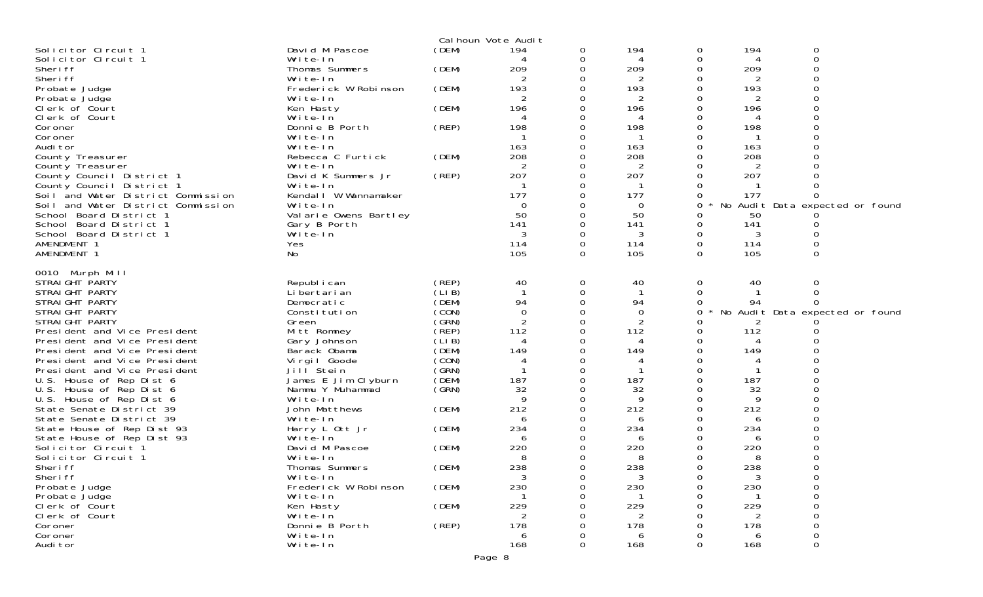|                                                                 |                                |                | Cal houn Vote Audit |               |          |          |              |                                 |
|-----------------------------------------------------------------|--------------------------------|----------------|---------------------|---------------|----------|----------|--------------|---------------------------------|
| Solicitor Circuit 1                                             | David M Pascoe                 | (DEM)          | 194                 | 0             | 194      | 0        | 194          | 0                               |
| Solicitor Circuit 1                                             | Write-In                       |                | 4                   | 0             | 4        | 0        | 4            | 0                               |
| Sheri ff                                                        | Thomas Summers                 | (DEM)          | 209                 | 0             | 209      | 0        | 209          | 0                               |
| Sheri ff                                                        | Write-In                       |                | 2                   | 0             | 2        | 0        | 2            | 0                               |
| Probate Judge                                                   | Frederick W Robinson           | (DEM)          | 193                 | 0             | 193      | 0        | 193          | ი                               |
| Probate Judge<br>Clerk of Court                                 | Write-In<br>Ken Hasty          | (DEM)          | 2<br>196            | 0<br>0        | 2<br>196 | 0<br>0   | 196          |                                 |
| Clerk of Court                                                  | Write-In                       |                | 4                   | 0             | 4        | 0        | 4            |                                 |
| Coroner                                                         | Donnie B Porth                 | (REP)          | 198                 | $\Omega$      | 198      | 0        | 198          |                                 |
| Coroner                                                         | Write-In                       |                |                     | 0             | -1       | 0        | $\mathbf{1}$ |                                 |
| Audi tor                                                        | Write-In                       |                | 163                 | 0             | 163      | 0        | 163          |                                 |
| County Treasurer                                                | Rebecca C Furtick              | (DEM)          | 208                 | $\Omega$      | 208      | 0        | 208          |                                 |
| County Treasurer                                                | Write-In                       |                | 2                   | 0             | 2        | 0        | 2            |                                 |
| County Council District 1                                       | David K Summers Jr<br>Write-In | (REP)          | 207                 | 0<br>$\Omega$ | 207      | 0<br>0   | 207          |                                 |
| County Council District 1<br>Soil and Water District Commission | Kendall W Wannamaker           |                | 177                 | 0             | 177      | 0        | 177          |                                 |
| Soil and Water District Commission                              | Write-In                       |                | 0                   | 0             | 0        | 0        |              | No Audit Data expected or found |
| School Board District 1                                         | Valarie Owens Bartley          |                | 50                  | $\Omega$      | 50       | 0        | 50           |                                 |
| School Board District 1                                         | Gary B Porth                   |                | 141                 | 0             | 141      | 0        | 141          |                                 |
| School Board District 1                                         | Write-In                       |                | 3                   | 0             | 3        | 0        | 3            |                                 |
| AMENDMENT 1                                                     | Yes                            |                | 114                 | $\Omega$      | 114      | $\Omega$ | 114          |                                 |
| AMENDMENT 1                                                     | No                             |                | 105                 | $\Omega$      | 105      | $\Omega$ | 105          | 0                               |
| 0010 Murph Mill                                                 |                                |                |                     |               |          |          |              |                                 |
| STRAIGHT PARTY                                                  | Republ i can                   | (REP)          | 40                  | 0             | 40       | 0        | 40           | 0                               |
| STRAIGHT PARTY                                                  | Li bertari an                  | (LIB)          |                     | 0             | -1       | 0        | -1           | 0                               |
| STRAIGHT PARTY                                                  | Democratic                     | (DEM)          | 94                  | $\Omega$      | 94       | 0        | 94           | 0                               |
| STRAIGHT PARTY                                                  | Constitution                   | (CON)          | $\mathbf 0$         | $\mathbf 0$   | 0        | 0        |              | No Audit Data expected or found |
| STRAIGHT PARTY                                                  | Green                          | (GRN)          | $\overline{2}$      | 0             | 2        | 0        |              |                                 |
| President and Vice President                                    | Mitt Romney                    | (REP)          | 112                 | $\Omega$      | 112      | 0        | 112          |                                 |
| President and Vice President<br>President and Vice President    | Gary Johnson                   | (LIB)<br>(DEM) | 4<br>149            | 0<br>0        | 4<br>149 | 0<br>0   | 4<br>149     |                                 |
| President and Vice President                                    | Barack Obama<br>Virgil Goode   | (CON)          | 4                   | 0             | 4        | 0        | 4            |                                 |
| President and Vice President                                    | Jill Stein                     | (GRN)          |                     | 0             |          | 0        |              |                                 |
| U.S. House of Rep Dist 6                                        | James E Jim Clyburn            | (DEM)          | 187                 | 0             | 187      | 0        | 187          |                                 |
| U.S. House of Rep Dist 6                                        | Nammu Y Muhammad               | (GRN)          | 32                  | $\Omega$      | 32       | 0        | 32           |                                 |
| U.S. House of Rep Dist 6                                        | Write-In                       |                | 9                   | 0             | 9        | 0        | 9            |                                 |
| State Senate District 39                                        | John Matthews                  | (DEM)          | 212                 | 0             | 212      | 0        | 212          |                                 |
| State Senate District 39                                        | Write-In                       |                | 6                   | $\Omega$      | 6        | 0        | 6            |                                 |
| State House of Rep Dist 93                                      | Harry L Ott Jr                 | (DEM)          | 234                 | 0             | 234      | 0        | 234          |                                 |
| State House of Rep Dist 93<br>Solicitor Circuit 1               | Write-In<br>David M Pascoe     | (DEM)          | 6<br>220            | 0<br>$\Omega$ | 6<br>220 | 0        | 6<br>220     |                                 |
| Solicitor Circuit 1                                             | Write-In                       |                | 8                   | 0             | 8        | 0        | 8            |                                 |
| Sheri ff                                                        | Thomas Summers                 | (DEM)          | 238                 | 0             | 238      | 0        | 238          |                                 |
| Sheri ff                                                        | Write-In                       |                | 3                   | 0             | 3        | 0        | 3            | 0                               |
| Probate Judge                                                   | Frederick W Robinson           | (DEM)          | 230                 | 0             | 230      | 0        | 230          | 0                               |
| Probate Judge                                                   | Write-In                       |                |                     | 0             |          | 0        |              | 0                               |
| Clerk of Court                                                  | Ken Hasty                      | (DEM)          | 229                 | O             | 229      |          | 229          | 0                               |
| Clerk of Court                                                  | Write-In                       |                |                     |               | 2        |          | 2            |                                 |
| Coroner<br>Coroner                                              | Donnie B Porth<br>Write-In     | (REP)          | 178<br>6            |               | 178<br>6 |          | 178          | 0                               |
| Audi tor                                                        | Write-In                       |                | 168                 | O<br>$\Omega$ | 168      | 0        | 6<br>168     | 0                               |
|                                                                 |                                |                |                     |               |          |          |              |                                 |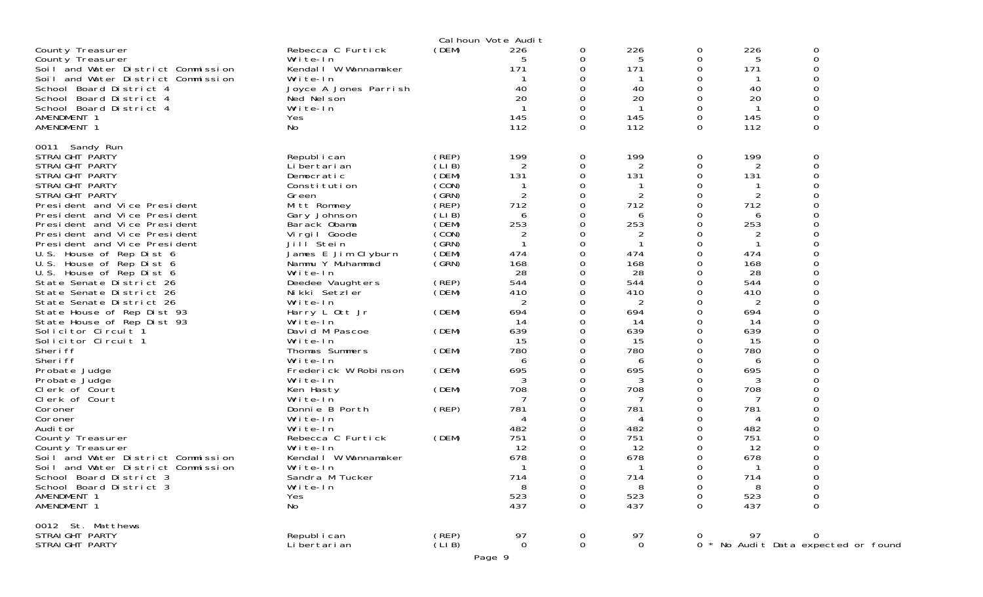| County Treasurer<br>County Treasurer<br>Soil and Water District Commission<br>Soil and Water District Commission<br>School Board District 4<br>School Board District 4<br>School Board District 4<br>AMENDMENT 1<br>AMENDMENT 1                                                                                                                                                                                                                                                                                                                                                                                                                                                                                                                                                                                                                                                                    | Rebecca C Furtick<br>Write-In<br>Kendall W Wannamaker<br>Write-In<br>Joyce A Jones Parrish<br>Ned Nelson<br>Write-In<br>Yes<br>No                                                                                                                                                                                                                                                                                                                                                                                                                                                      | (DEM)                                                                                                                                                                                      | Cal houn Vote Audit<br>226<br>5<br>171<br>-1<br>40<br>20<br>$\mathbf{1}$<br>145<br>112                                                                                                                                     | 0<br>0<br>0<br>0<br>0<br>0<br>0<br>$\Omega$                                                                                                                                                          | 226<br>5<br>171<br>-1<br>40<br>20<br>-1<br>145<br>112                                                                                                                                                                   | 0<br>0<br>0<br>0<br>0<br>0<br>0<br>0<br>$\Omega$                                                                                                                                 | 226<br>5<br>171<br>-1<br>40<br>20<br>$\mathbf 1$<br>145<br>112                                                                                                                                                          | 0<br>0<br>$\Omega$<br>∩<br>0<br>$\mathbf 0$ |
|----------------------------------------------------------------------------------------------------------------------------------------------------------------------------------------------------------------------------------------------------------------------------------------------------------------------------------------------------------------------------------------------------------------------------------------------------------------------------------------------------------------------------------------------------------------------------------------------------------------------------------------------------------------------------------------------------------------------------------------------------------------------------------------------------------------------------------------------------------------------------------------------------|----------------------------------------------------------------------------------------------------------------------------------------------------------------------------------------------------------------------------------------------------------------------------------------------------------------------------------------------------------------------------------------------------------------------------------------------------------------------------------------------------------------------------------------------------------------------------------------|--------------------------------------------------------------------------------------------------------------------------------------------------------------------------------------------|----------------------------------------------------------------------------------------------------------------------------------------------------------------------------------------------------------------------------|------------------------------------------------------------------------------------------------------------------------------------------------------------------------------------------------------|-------------------------------------------------------------------------------------------------------------------------------------------------------------------------------------------------------------------------|----------------------------------------------------------------------------------------------------------------------------------------------------------------------------------|-------------------------------------------------------------------------------------------------------------------------------------------------------------------------------------------------------------------------|---------------------------------------------|
| 0011 Sandy Run<br>STRAIGHT PARTY<br>STRAIGHT PARTY<br>STRAIGHT PARTY<br>STRAIGHT PARTY<br>STRAIGHT PARTY<br>President and Vice President<br>President and Vice President<br>President and Vice President<br>President and Vice President<br>President and Vice President<br>U.S. House of Rep Dist 6<br>U.S. House of Rep Dist 6<br>U.S. House of Rep Dist 6<br>State Senate District 26<br>State Senate District 26<br>State Senate District 26<br>State House of Rep Dist 93<br>State House of Rep Dist 93<br>Solicitor Circuit 1<br>Solicitor Circuit 1<br>Sheri ff<br>Sheri ff<br>Probate Judge<br>Probate Judge<br>Clerk of Court<br>Clerk of Court<br>Coroner<br>Coroner<br>Audi tor<br>County Treasurer<br>County Treasurer<br>Soil and Water District Commission<br>Soil and Water District Commission<br>School Board District 3<br>School Board District 3<br>AMENDMENT 1<br>AMENDMENT 1 | Republ i can<br>Li bertari an<br>Democratic<br>Constitution<br>Green<br>Mitt Romney<br>Gary Johnson<br>Barack Obama<br>Virgil Goode<br>Jill <sup>Stein</sup><br>James E Jim Clyburn<br>Nammu Y Muhammad<br>Write-In<br>Deedee Vaughters<br>Nikki Setzler<br>Write-In<br>Harry L Ott Jr<br>Write-In<br>David M Pascoe<br>Write-In<br>Thomas Summers<br>Write-In<br>Frederick W Robinson<br>Write-In<br>Ken Hasty<br>Write-In<br>Donnie B Porth<br>Write-In<br>Write-In<br>Rebecca C Furtick<br>Write-In<br>Kendall W Wannamaker<br>Write-In<br>Sandra M Tucker<br>Write-In<br>Yes<br>No | (REP)<br>(LI B)<br>(DEM)<br>(CON)<br>(GRN)<br>(REP)<br>(LIB)<br>(DEM)<br>(CON)<br>(GRN)<br>(DEM)<br>(GRN)<br>(REP)<br>(DEM)<br>(DEM)<br>(DEM)<br>(DEM)<br>(DEM)<br>(DEM)<br>(REP)<br>(DEM) | 199<br>2<br>131<br>2<br>712<br>6<br>253<br>$\overline{2}$<br>474<br>168<br>28<br>544<br>410<br>2<br>694<br>14<br>639<br>15<br>780<br>6<br>695<br>3<br>708<br>781<br>4<br>482<br>751<br>12<br>678<br>714<br>8<br>523<br>437 | 0<br>0<br>0<br>0<br>0<br>0<br>0<br>0<br>0<br>$\Omega$<br>0<br>0<br>0<br>0<br>0<br>0<br>0<br>0<br>$\Omega$<br>0<br>0<br>0<br>0<br>0<br>0<br>0<br>0<br>0<br>0<br>0<br>0<br>0<br>0<br>O<br><sup>o</sup> | 199<br>2<br>131<br>2<br>712<br>6<br>253<br>2<br>474<br>168<br>28<br>544<br>410<br>2<br>694<br>14<br>639<br>15<br>780<br>6<br>695<br>3<br>708<br>7<br>781<br>4<br>482<br>751<br>12<br>678<br>ำ<br>714<br>8<br>523<br>437 | 0<br>0<br>0<br>0<br>0<br>0<br>0<br>0<br>0<br>0<br>0<br>0<br>0<br>0<br>0<br>0<br>0<br>0<br>0<br>0<br>0<br>0<br>0<br>0<br>0<br>0<br>0<br>Ω<br>0<br>0<br>0<br>∩<br>0<br>0<br>0<br>0 | 199<br>2<br>131<br>2<br>712<br>6<br>253<br>2<br>474<br>168<br>28<br>544<br>410<br>2<br>694<br>14<br>639<br>15<br>780<br>6<br>695<br>3<br>708<br>7<br>781<br>4<br>482<br>751<br>12<br>678<br>1<br>714<br>8<br>523<br>437 | 0<br>0<br>∩<br>0<br>Ω<br>0                  |
| 0012 St. Matthews<br>STRAIGHT PARTY<br>STRAIGHT PARTY                                                                                                                                                                                                                                                                                                                                                                                                                                                                                                                                                                                                                                                                                                                                                                                                                                              | Republ i can<br>Li bertari an                                                                                                                                                                                                                                                                                                                                                                                                                                                                                                                                                          | $(REP)$<br>$(LIB)$                                                                                                                                                                         | 97<br>$\Omega$<br>Page 9                                                                                                                                                                                                   | 0<br>$\mathbf 0$                                                                                                                                                                                     | 97<br>$\mathbf 0$                                                                                                                                                                                                       | 0<br>$\Omega$                                                                                                                                                                    | 97                                                                                                                                                                                                                      | 0<br>* No Audit Data expected or found      |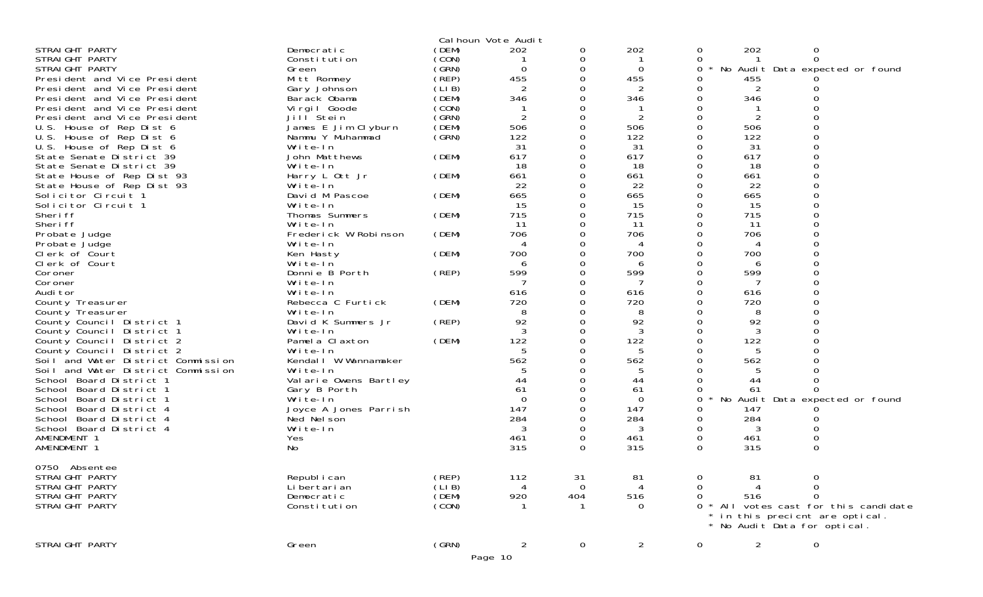|                                    |                       |       | Calhoun Vote Audit |          |                |                |                |                                     |  |
|------------------------------------|-----------------------|-------|--------------------|----------|----------------|----------------|----------------|-------------------------------------|--|
| STRAIGHT PARTY                     | Democratic            | (DEM) | 202                | 0        | 202            | 0              | 202            | 0                                   |  |
| STRAIGHT PARTY                     | Constitution          | (CON) |                    | 0        |                | 0              |                | $\Omega$                            |  |
| STRAIGHT PARTY                     | Green                 | (GRN) | $\Omega$           | 0        | 0              | 0              |                | No Audit Data expected or found     |  |
| President and Vice President       | Mitt Romney           | (REP) | 455                | 0        | 455            | 0              | 455            |                                     |  |
| President and Vice President       | Gary Johnson          | (LIB) | 2                  |          | 2              | 0              | 2              | 0                                   |  |
| President and Vice President       | Barack Obama          | (DEM) | 346                | 0        | 346            | 0              | 346            |                                     |  |
| President and Vice President       | Vi rgi I Goode        | (CON) |                    | 0        |                | 0              |                | $\Omega$                            |  |
| President and Vice President       | Jill Stein            | (GRN) | 2                  |          |                | Ω              | 2              |                                     |  |
| U.S. House of Rep Dist 6           | James E Jim Clyburn   | (DEM) | 506                | 0        | 506            | 0              | 506            |                                     |  |
| U.S. House of Rep Dist 6           | Nammu Y Muhammad      | (GRN) | 122                | 0        | 122            | 0              | 122            |                                     |  |
| U.S. House of Rep Dist 6           | Write-In              |       | 31                 | $\Omega$ | 31             | 0              | 31             |                                     |  |
| State Senate District 39           | John Matthews         | (DEM) | 617                |          | 617            | 0              | 617            |                                     |  |
| State Senate District 39           | Write-In              |       | 18                 | 0        | 18             | 0              | 18             | 0                                   |  |
| State House of Rep Dist 93         | Harry L Ott Jr        | (DEM) | 661                | $\Omega$ | 661            | 0              | 661            |                                     |  |
| State House of Rep Dist 93         | Write-In              |       | 22                 |          | 22             | 0              | 22             |                                     |  |
| Solicitor Circuit 1                | David M Pascoe        |       | 665                | 0        | 665            | 0              | 665            |                                     |  |
| Solicitor Circuit 1                | Write-In              | (DEM) | 15                 | $\Omega$ | 15             | 0              | 15             | ∩                                   |  |
|                                    |                       |       | 715                |          |                | 0              | 715            |                                     |  |
| Sheri ff                           | Thomas Summers        | (DEM) |                    |          | 715            |                |                |                                     |  |
| Sheri ff                           | Write-In              |       | 11                 | 0        | 11             | 0              | 11             | $\Omega$                            |  |
| Probate Judge                      | Frederick W Robinson  | (DEM) | 706                | 0        | 706            | 0              | 706            |                                     |  |
| Probate Judge                      | Write-In              |       |                    |          |                | Ω              |                |                                     |  |
| Clerk of Court                     | Ken Hasty             | (DEM) | 700                | 0        | 700            | 0              | 700            |                                     |  |
| Clerk of Court                     | Write-In              |       | 6                  | $\Omega$ | 6              | 0              | 6              |                                     |  |
| Coroner                            | Donnie B Porth        | (REP) | 599                |          | 599            | 0              | 599            |                                     |  |
| Coroner                            | Write-In              |       |                    |          | 7              | 0              | 7              |                                     |  |
| Audi tor                           | Write-In              |       | 616                | $\Omega$ | 616            | 0              | 616            |                                     |  |
| County Treasurer                   | Rebecca C Furtick     | (DEM) | 720                |          | 720            | 0              | 720            |                                     |  |
| County Treasurer                   | Write-In              |       | 8                  |          | 8              | 0              | 8              |                                     |  |
| County Council District 1          | David K Summers Jr    | (REP) | 92                 | $\Omega$ | 92             | 0              | 92             |                                     |  |
| County Council District 1          | Write-In              |       | 3                  |          | 3              | 0              | 3              |                                     |  |
| County Council District 2          | Pamela Claxton        | (DEM) | 122                |          | 122            | 0              | 122            |                                     |  |
| County Council District 2          | Write-In              |       |                    | 0        | 5              | 0              | 5              |                                     |  |
| Soil and Water District Commission | Kendall W Wannamaker  |       | 562                | 0        | 562            | 0              | 562            |                                     |  |
| Soil and Water District Commission | Write-In              |       |                    |          | 5              |                | 5              |                                     |  |
| School Board District 1            | Valarie Owens Bartley |       | 44                 |          | 44             | 0              | 44             | $\Omega$                            |  |
| School Board District 1            | Gary B Porth          |       | 61                 |          | 61             | 0              | 61             |                                     |  |
| School Board District 1            | Write-In              |       | $\Omega$           |          | $\Omega$       | 0              |                | No Audit Data expected or found     |  |
| School Board District 4            | Joyce A Jones Parrish |       | 147                | 0        | 147            | 0              | 147            |                                     |  |
| School Board District 4            | Ned Nelson            |       | 284                | $\Omega$ | 284            | 0              | 284            |                                     |  |
| School Board District 4            | Write-In              |       | 3                  |          | -3             | 0              | 3              | 0                                   |  |
| AMENDMENT 1                        | Yes                   |       | 461                | 0        | 461            | 0              | 461            | 0                                   |  |
| AMENDMENT 1                        | No                    |       | 315                | $\Omega$ | 315            | 0              | 315            | $\Omega$                            |  |
|                                    |                       |       |                    |          |                |                |                |                                     |  |
| 0750 Absentee                      |                       |       |                    |          |                |                |                |                                     |  |
| STRAIGHT PARTY                     | Republ i can          | (REP) | 112                | 31       | 81             | $\overline{0}$ | 81             | $\mathbf 0$                         |  |
| STRAIGHT PARTY                     | Li bertari an         | (LIB) | 4                  | $\Omega$ | 4              | 0              | 4              | $\mathbf 0$                         |  |
| STRAIGHT PARTY                     | Democratic            | (DEM) | 920                | 404      | 516            | 0              | 516            | $\Omega$                            |  |
| STRAIGHT PARTY                     | Constitution          | (CON) |                    |          | $\Omega$       | $\Omega$       |                | * All votes cast for this candidate |  |
|                                    |                       |       |                    |          |                |                |                | * in this precient are optical.     |  |
|                                    |                       |       |                    |          |                |                |                | * No Audit Data for optical.        |  |
|                                    |                       |       |                    |          |                |                |                |                                     |  |
| STRAIGHT PARTY                     | Green                 | (GRN) | $\overline{2}$     | 0        | $\overline{2}$ | 0              | $\overline{2}$ | $\mathbf 0$                         |  |
|                                    |                       |       |                    |          |                |                |                |                                     |  |
|                                    |                       |       | Page 10            |          |                |                |                |                                     |  |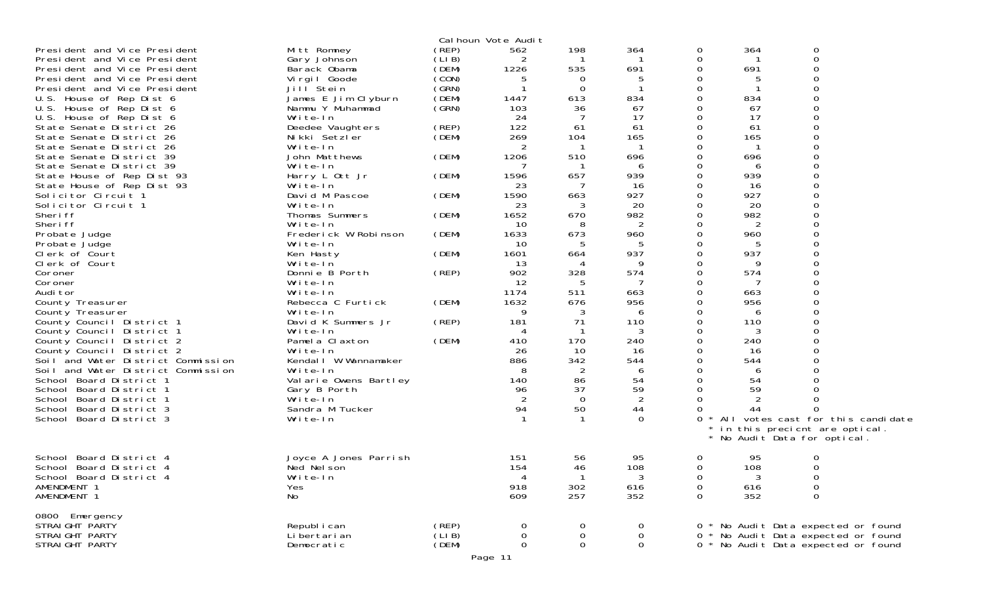|                                    |                       |        | Cal houn Vote Audit        |                          |                |              |     |                                                                            |  |
|------------------------------------|-----------------------|--------|----------------------------|--------------------------|----------------|--------------|-----|----------------------------------------------------------------------------|--|
| President and Vice President       | Mitt Romney           | (REP)  | 562                        | 198                      | 364            | 0            | 364 |                                                                            |  |
| President and Vice President       | Gary Johnson          | (LI B) | 2                          | -1                       |                | 0            |     |                                                                            |  |
| President and Vice President       | Barack Obama          | (DEM)  | 1226                       | 535                      | 691            | 0            | 691 |                                                                            |  |
| President and Vice President       | Virgil Goode          | (CON)  |                            | 0                        |                | 0            |     |                                                                            |  |
| President and Vice President       | Jill Stein            | (GRN)  |                            | $\Omega$                 |                | 0            |     |                                                                            |  |
| U.S. House of Rep Dist 6           | James E Jim Clyburn   | (DEM)  | 1447                       | 613                      | 834            | 0            | 834 |                                                                            |  |
| U.S. House of Rep Dist 6           | Nammu Y Muhammad      | (GRN)  | 103                        | 36                       | 67             | 0            | 67  |                                                                            |  |
| U.S. House of Rep Dist 6           | Write-In              |        | 24                         | -7                       | 17             | 0            | 17  |                                                                            |  |
| State Senate District 26           | Deedee Vaughters      | (REP)  | 122                        | 61                       | 61             | 0            | 61  |                                                                            |  |
| State Senate District 26           | Nikki Setzler         | (DEM)  | 269                        | 104                      | 165            | 0            | 165 |                                                                            |  |
| State Senate District 26           | Write-In              |        | 2                          | $\mathbf{1}$             | -1             | 0            | -1  |                                                                            |  |
| State Senate District 39           | John Matthews         | (DEM)  | 1206                       | 510                      | 696            | 0            | 696 |                                                                            |  |
| State Senate District 39           | Write-In              |        |                            |                          | 6              | 0            | 6   |                                                                            |  |
| State House of Rep Dist 93         | Harry L Ott Jr        | (DEM)  | 1596                       | 657                      | 939            | 0            | 939 |                                                                            |  |
| State House of Rep Dist 93         | Write-In              |        | 23                         |                          | 16             | 0            | 16  |                                                                            |  |
| Solicitor Circuit 1                | David M Pascoe        | (DEM)  | 1590                       | 663                      | 927            | 0            | 927 |                                                                            |  |
| Solicitor Circuit 1                | Write-In              |        | 23                         | 3                        | 20             | 0            | 20  |                                                                            |  |
|                                    |                       |        |                            |                          |                |              |     |                                                                            |  |
| Sheri ff                           | Thomas Summers        | (DEM)  | 1652                       | 670                      | 982            | 0            | 982 |                                                                            |  |
| Sheri ff                           | Write-In              |        | 10                         | 8                        | 2              | 0            | 2   |                                                                            |  |
| Probate Judge                      | Frederick W Robinson  | (DEM)  | 1633                       | 673                      | 960            | 0            | 960 |                                                                            |  |
| Probate Judge                      | Write-In              |        | 10                         | .5                       | 5              | 0            | 5   |                                                                            |  |
| Clerk of Court                     | Ken Hasty             | (DEM)  | 1601                       | 664                      | 937            | 0            | 937 |                                                                            |  |
| Clerk of Court                     | Write-In              |        | 13                         | $\boldsymbol{\varDelta}$ | 9              | 0            | 9   |                                                                            |  |
| Coroner                            | Donnie B Porth        | (REP)  | 902                        | 328                      | 574            | 0            | 574 |                                                                            |  |
| Coroner                            | Write-In              |        | 12                         | 5                        | 7              | 0            |     |                                                                            |  |
| Audi tor                           | Write-In              |        | 1174                       | 511                      | 663            | 0            | 663 |                                                                            |  |
| County Treasurer                   | Rebecca C Furtick     | (DEM)  | 1632                       | 676                      | 956            | 0            | 956 |                                                                            |  |
| County Treasurer                   | Write-In              |        | 9                          | 3                        | 6              | 0            | 6   |                                                                            |  |
| County Council District 1          | David K Summers Jr    | (REP)  | 181                        | 71                       | 110            | 0            | 110 |                                                                            |  |
| County Council District 1          | Write-In              |        |                            |                          | 3              | 0            | 3   |                                                                            |  |
| County Council District 2          | Pamel a Claxton       | (DEM)  | 410                        | 170                      | 240            | 0            | 240 |                                                                            |  |
| County Council District 2          | Write-In              |        | 26                         | 10                       | 16             | 0            | 16  |                                                                            |  |
| Soil and Water District Commission | Kendall W Wannamaker  |        | 886                        | 342                      | 544            | $\Omega$     | 544 |                                                                            |  |
| Soil and Water District Commission | Write-In              |        | 8                          | 2                        | 6              | 0            | 6   |                                                                            |  |
| School Board District 1            | Valarie Owens Bartley |        | 140                        | 86                       | 54             | 0            | 54  |                                                                            |  |
| School Board District 1            | Gary B Porth          |        | 96                         | 37                       | 59             | 0            | 59  |                                                                            |  |
| School Board District 1            | Write-In              |        | $\overline{2}$             | $\Omega$                 | $\overline{2}$ | 0            | 2   |                                                                            |  |
| School Board District 3            | Sandra M Tucker       |        | 94                         | 50                       | 44             |              | 44  |                                                                            |  |
| School Board District 3            | Write-In              |        |                            | $\mathbf{1}$             | $\Omega$       | 0<br>$\star$ |     | All votes cast for this candidate                                          |  |
|                                    |                       |        |                            |                          |                |              |     | in this precient are optical.                                              |  |
|                                    |                       |        |                            |                          |                |              |     | No Audit Data for optical.                                                 |  |
|                                    |                       |        |                            |                          |                |              |     |                                                                            |  |
| School Board District 4            | Joyce A Jones Parrish |        | 151                        | 56                       | 95             | 0            | 95  |                                                                            |  |
| School Board District 4            | Ned Nelson            |        | 154                        | 46                       | 108            | 0            | 108 | $\Omega$                                                                   |  |
| School Board District 4            | Write-In              |        | 4                          |                          | 3              | 0            | 3   | 0                                                                          |  |
| AMENDMENT 1                        | Yes                   |        | 918                        | 302                      | 616            | 0            | 616 | 0                                                                          |  |
| AMENDMENT 1                        | No                    |        | 609                        | 257                      | 352            | 0            | 352 | 0                                                                          |  |
|                                    |                       |        |                            |                          |                |              |     |                                                                            |  |
| 0800 Emergency                     |                       |        |                            |                          |                |              |     |                                                                            |  |
| STRAIGHT PARTY                     | Republ i can          | (REP)  | 0                          | 0                        | 0              |              |     | 0 * No Audit Data expected or found                                        |  |
| STRAIGHT PARTY                     | Li bertari an         | (LIB)  |                            |                          |                |              |     |                                                                            |  |
| STRAIGHT PARTY                     | Democratic            | (DEM)  | $\mathbf 0$<br>$\mathbf 0$ | 0<br>$\mathbf 0$         | 0<br>0         |              |     | 0 * No Audit Data expected or found<br>0 * No Audit Data expected or found |  |
|                                    |                       |        |                            |                          |                |              |     |                                                                            |  |
|                                    |                       |        | Page 11                    |                          |                |              |     |                                                                            |  |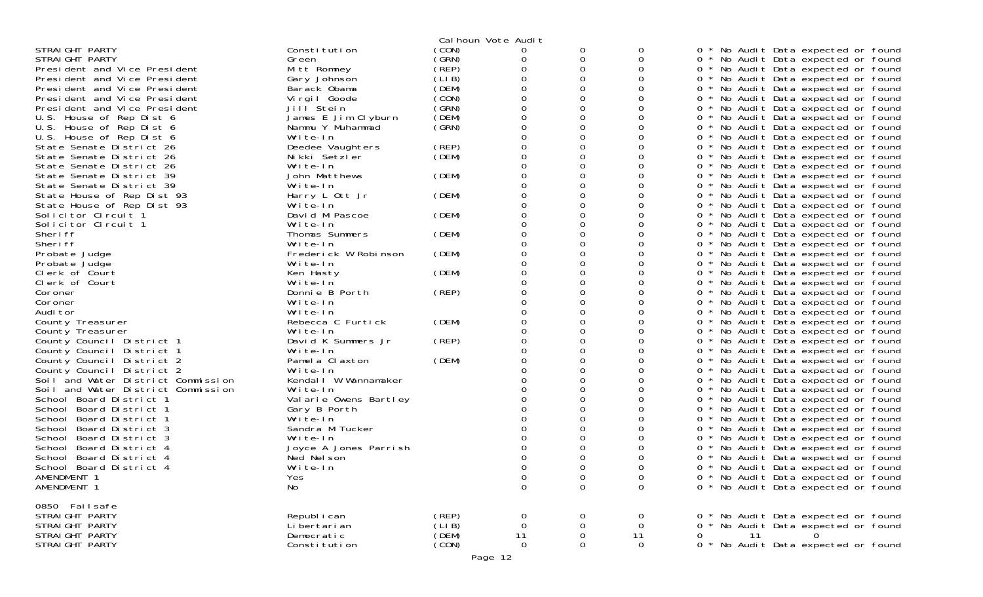|                                    |                       |        | Cal houn Vote Audit |             |             |                                                                               |
|------------------------------------|-----------------------|--------|---------------------|-------------|-------------|-------------------------------------------------------------------------------|
| STRAIGHT PARTY                     | Constitution          | (CON)  | 0                   |             | 0           | * No Audit Data expected or found                                             |
| STRAIGHT PARTY                     | Green                 | (GRN)  | 0                   | 0           | 0           | 0 * No Audit Data expected or found                                           |
| President and Vice President       | Mitt Romney           | (REP)  |                     | 0           | O           | 0 * No Audit Data expected or found                                           |
| President and Vice President       | Gary Johnson          | (LIB)  |                     |             |             | * No Audit Data expected or found<br>0                                        |
| President and Vice President       | Barack Obama          | (DEM)  |                     |             |             | 0 * No Audit Data expected or found                                           |
| President and Vice President       | Virgil Goode          | (CON)  |                     | 0           |             | 0 * No Audit Data expected or found                                           |
| President and Vice President       | Jill Stein            | (SRN)  |                     |             |             | 0<br>* No Audit Data expected or found                                        |
| U.S. House of Rep Dist 6           | James E Jim Clyburn   | (DEM)  |                     |             |             | 0 * No Audit Data expected or found                                           |
| U.S. House of Rep Dist 6           | Nammu Y Muhammad      | (GRN)  |                     | 0           |             | 0 * No Audit Data expected or found                                           |
| U.S. House of Rep Dist 6           | Write-In              |        |                     |             |             | 0<br>* No Audit Data expected or found                                        |
| State Senate District 26           | Deedee Vaughters      | (REP)  |                     |             |             | 0 * No Audit Data expected or found                                           |
| State Senate District 26           | Nikki Setzler         | (DEM)  |                     | 0           |             |                                                                               |
|                                    | Write-In              |        |                     |             |             | 0 * No Audit Data expected or found<br>0<br>* No Audit Data expected or found |
| State Senate District 26           |                       |        |                     |             |             |                                                                               |
| State Senate District 39           | John Matthews         | (DEM)  |                     |             |             | 0 * No Audit Data expected or found                                           |
| State Senate District 39           | Write-In              |        |                     |             |             | 0 * No Audit Data expected or found                                           |
| State House of Rep Dist 93         | Harry L Ott Jr        | (DEM)  |                     |             |             | 0 * No Audit Data expected or found                                           |
| State House of Rep Dist 93         | Write-In              |        |                     |             |             | 0 * No Audit Data expected or found                                           |
| Solicitor Circuit 1                | David M Pascoe        | (DEM)  |                     | 0           |             | 0 * No Audit Data expected or found                                           |
| Solicitor Circuit 1                | Write-In              |        |                     |             |             | 0<br>* No Audit Data expected or found                                        |
| Sheri ff                           | Thomas Summers        | (DEM)  |                     |             |             | 0 * No Audit Data expected or found                                           |
| Sheri ff                           | Write-In              |        |                     |             |             | 0 * No Audit Data expected or found                                           |
| Probate Judge                      | Frederick W Robinson  | (DEM)  |                     |             |             | 0 * No Audit Data expected or found                                           |
| Probate Judge                      | Write-In              |        |                     |             |             | 0 * No Audit Data expected or found                                           |
| Clerk of Court                     | Ken Hasty             | (DEM)  |                     | 0           |             | 0 * No Audit Data expected or found                                           |
| Clerk of Court                     | Write-In              |        |                     |             |             | 0 * No Audit Data expected or found                                           |
| Coroner                            | Donnie B Porth        | (REP)  |                     |             |             | 0 * No Audit Data expected or found                                           |
| Coroner                            | Write-In              |        |                     |             |             | 0 * No Audit Data expected or found                                           |
| Audi tor                           | Write-In              |        |                     |             |             | 0 * No Audit Data expected or found                                           |
| County Treasurer                   | Rebecca C Furtick     | (DEM)  |                     | 0           |             | 0 * No Audit Data expected or found                                           |
| County Treasurer                   | Write-In              |        |                     | 0           |             | 0 * No Audit Data expected or found                                           |
| County Council District 1          | David K Summers Jr    | (REP)  |                     |             |             | 0 * No Audit Data expected or found                                           |
| County Council District 1          | Write-In              |        |                     |             |             | 0 * No Audit Data expected or found                                           |
| County Council District 2          | Pamela Claxton        | (DEM)  |                     | 0           |             | 0 * No Audit Data expected or found                                           |
| County Council District 2          | Write-In              |        |                     |             |             | 0 * No Audit Data expected or found                                           |
| Soil and Water District Commission | Kendall W Wannamaker  |        |                     |             |             | 0 * No Audit Data expected or found                                           |
| Soil and Water District Commission | Write-In              |        |                     |             |             | 0 * No Audit Data expected or found                                           |
| School Board District 1            | Valarie Owens Bartley |        |                     |             |             | 0 * No Audit Data expected or found                                           |
| School Board District 1            | Gary B Porth          |        |                     |             |             | 0 * No Audit Data expected or found                                           |
| School Board District 1            | Write-In              |        |                     |             |             | 0 * No Audit Data expected or found                                           |
| School Board District 3            | Sandra M Tucker       |        |                     |             |             | 0 * No Audit Data expected or found                                           |
| School Board District 3            | Write-In              |        |                     |             |             | 0 * No Audit Data expected or found                                           |
| School Board District 4            | Joyce A Jones Parrish |        |                     |             |             | * No Audit Data expected or found                                             |
| School Board District 4            | Ned Nelson            |        |                     |             |             | * No Audit Data expected or found<br>0                                        |
| School Board District 4            | Write-In              |        |                     |             |             | 0.<br>* No Audit Data expected or found                                       |
| AMENDMENT 1                        | Yes                   |        | $\mathbf 0$         | 0           | 0           | 0 * No Audit Data expected or found                                           |
| AMENDMENT 1                        | No                    |        | $\mathbf 0$         | $\mathbf 0$ | 0           | 0 * No Audit Data expected or found                                           |
|                                    |                       |        |                     |             |             |                                                                               |
| 0850 Failsafe                      |                       |        |                     |             |             |                                                                               |
| STRAIGHT PARTY                     | Republ i can          | (REP)  | 0                   | 0           | 0           | 0 * No Audit Data expected or found                                           |
| STRAIGHT PARTY                     | Li bertari an         | (LI B) | $\mathbf 0$         | 0           | 0           | * No Audit Data expected or found<br>0                                        |
| STRAIGHT PARTY                     | Democratic            | (DEM)  | 11                  | 0           | 11          | 11<br>0<br>$\Omega$                                                           |
| STRAIGHT PARTY                     | Constitution          | (CON)  | $\mathbf 0$         | 0           | $\mathbf 0$ | 0 * No Audit Data expected or found                                           |
|                                    |                       |        |                     |             |             |                                                                               |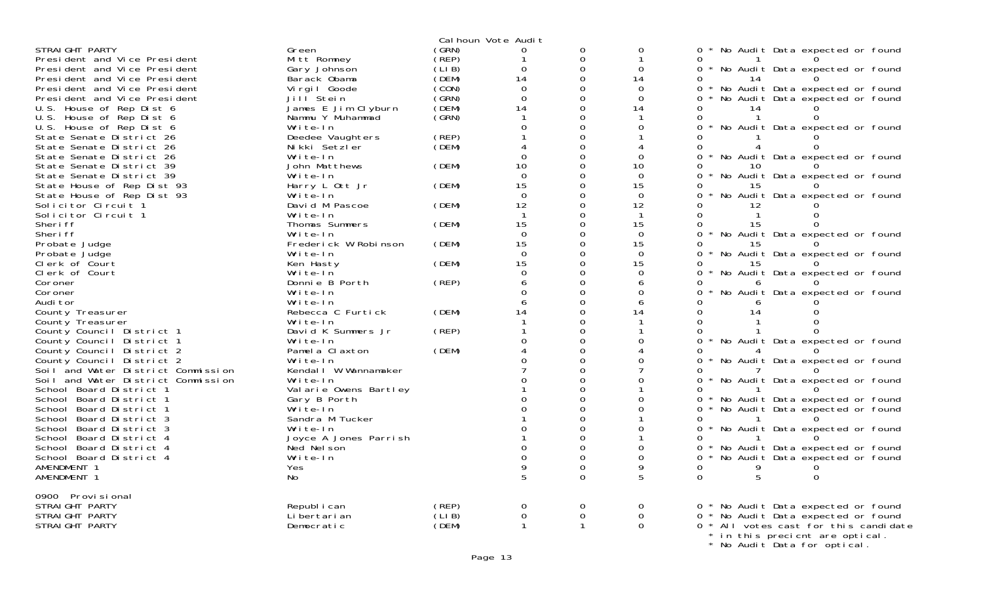|                                      |                       | Cal houn Vote Audit |                          |             |                |                                             |
|--------------------------------------|-----------------------|---------------------|--------------------------|-------------|----------------|---------------------------------------------|
| STRAIGHT PARTY                       | Green                 | (GRN)               | O                        | 0           | 0              | 0<br>No Audit Data expected or found        |
| President and Vice President         | Mitt Romney           | (`REP)              |                          | $\mathbf 0$ |                | 0                                           |
| President and Vice President         | Gary Johnson          | (LI B)              | $\Omega$                 | $\Omega$    | $\Omega$       | 0<br>* No Audit Data expected or found      |
| President and Vice President         | Barack Obama          | (DEM)               | 14                       | $\Omega$    | 14             | $\Omega$<br>14                              |
| President and Vice President         | Virgil Goode          | (CON)               | $\mathbf 0$              | $\Omega$    | $\Omega$       | No Audit Data expected or found<br>0        |
| President and Vice President         | Jill Stein            | (GRN)               | $\mathbf 0$              | $\Omega$    | $\Omega$       | No Audit Data expected or found<br>0        |
| U.S. House of Rep Dist 6             | James E Jim Clyburn   | (DEM)               | 14                       | 0           | 14             | $\Omega$<br>14                              |
| U.S. House of Rep Dist 6             | Nammu Y Muhammad      | (GRN)               |                          | $\Omega$    |                | 0                                           |
| U.S. House of Rep Dist 6             | Write-In              |                     | $\Omega$                 | $\Omega$    | $\Omega$       | 0<br>No Audit Data expected or found        |
| State Senate District 26             | Deedee Vaughters      | (REP)               |                          | $\Omega$    |                |                                             |
| State Senate District 26             | Nikki Setzler         | (DEM)               | $\boldsymbol{\varDelta}$ | $\Omega$    | 4              | $\Omega$<br>$\Omega$<br>4                   |
| State Senate District 26             | Write-In              |                     | $\mathbf 0$              | $\Omega$    | $\Omega$       | 0<br>No Audit Data expected or found        |
| State Senate District 39             | John Matthews         | (DEM)               | 10                       | $\Omega$    | 10             | 0                                           |
| State Senate District 39             | Write-In              |                     | $\mathbf 0$              | $\Omega$    | $\Omega$       | $\Omega$<br>No Audit Data expected or found |
| State House of Rep Dist 93           | Harry L Ott Jr        | (DEM)               | 15                       | $\Omega$    | 15             | 0                                           |
| State House of Rep Dist 93           | Write-In              |                     | $\mathbf{0}$             | $\mathbf 0$ | $\overline{0}$ | $\Omega$<br>No Audit Data expected or found |
| Solicitor Circuit 1                  | David M Pascoe        | (DEM)               | 12                       | $\Omega$    | 12             | $\Omega$<br>12                              |
| Solicitor Circuit 1                  | Write-In              |                     | $\mathbf{1}$             | $\Omega$    | $\mathbf{1}$   | $\Omega$<br>$\mathbf{1}$                    |
| Sheri ff                             | Thomas Summers        | (DEM)               | 15                       | $\Omega$    | 15             | 0<br>15                                     |
| Sheri ff                             | Write-In              |                     | $\mathbf 0$              | $\Omega$    | $\Omega$       | No Audit Data expected or found<br>$\Omega$ |
| Probate Judge                        | Frederick W Robinson  | (DEM)               | 15                       | $\Omega$    | 15             | 0<br>15                                     |
| Probate Judge                        | Write-In              |                     | $\mathbf 0$              | $\Omega$    | $\Omega$       | No Audit Data expected or found<br>0        |
| Clerk of Court                       | Ken Hasty             | (DEM)               | 15                       | $\mathbf 0$ | 15             | $\Omega$<br>15                              |
| Clerk of Court                       | Write-In              |                     | $\mathbf 0$              | $\Omega$    | $\Omega$       | No Audit Data expected or found<br>$\Omega$ |
| Coroner                              | Donnie B Porth        | (REP)               | 6                        | $\Omega$    | 6              | $\Omega$                                    |
| Coroner                              | Write-In              |                     | $\Omega$                 | $\Omega$    | $\Omega$       | No Audit Data expected or found<br>$\Omega$ |
| Audi tor                             | Write-In              |                     | 6                        | $\mathbf 0$ | 6              | 0<br>6                                      |
| County Treasurer                     | Rebecca C Furtick     | (DEM)               | 14                       | $\Omega$    | 14             | $\Omega$<br>14                              |
| County Treasurer                     | Write-In              |                     |                          | O           |                | $\Omega$                                    |
| County Council District 1            | David K Summers Jr    | (REP)               |                          | $\Omega$    |                |                                             |
| County Council District 1            | Write-In              |                     | $\Omega$                 | $\Omega$    | $\Omega$       | 0<br>* No Audit Data expected or found      |
| County Council District 2            | Pamel a Cl axton      | (DEM)               |                          | $\Omega$    | 4              | $\Omega$                                    |
| County Council District 2            | Write-In              |                     | $\Omega$                 | $\Omega$    | $\Omega$       | No Audit Data expected or found<br>0        |
| Soil and Water District Commission   | Kendall W Wannamaker  |                     |                          | $\Omega$    |                | 0                                           |
| Soil and Water District Commission   | Write-In              |                     | 0                        | $\Omega$    | $\Omega$       | No Audit Data expected or found<br>0        |
| School Board District 1              | Valarie Owens Bartley |                     |                          | $\Omega$    |                | $\Omega$                                    |
| School Board District 1              | Gary B Porth          |                     | 0                        | $\Omega$    | $\Omega$       | * No Audit Data expected or found<br>0      |
| School Board District 1              | Write-In              |                     | $\Omega$                 | $\Omega$    | $\Omega$       | No Audit Data expected or found<br>0        |
| School Board District 3              | Sandra M Tucker       |                     |                          | $\mathbf 0$ |                | 0                                           |
| School Board District 3              | Write-In              |                     | $\Omega$                 | $\Omega$    | $\Omega$       | No Audit Data expected or found<br>0        |
| School Board District 4              | Joyce A Jones Parrish |                     |                          | $\Omega$    |                | $\Omega$                                    |
| School Board District 4              | Ned Nelson            |                     | 0                        | 0           | $\Omega$       | No Audit Data expected or found<br>0        |
| School Board District 4              | Write-In              |                     | 0                        | 0           | 0              | No Audit Data expected or found<br>$\Omega$ |
| AMENDMENT 1                          | Yes                   |                     | 9                        | 0           | 9              | $\Omega$                                    |
| AMENDMENT 1                          | No                    |                     | 5                        | $\Omega$    |                | $\Omega$<br>5<br>$\Omega$                   |
|                                      |                       |                     |                          |             |                |                                             |
| 0900 Provi si onal<br>STRAIGHT PARTY | Republ i can          | (REP)               | $\mathbf 0$              | $\mathbf 0$ | 0              | 0 * No Audit Data expected or found         |
| STRAIGHT PARTY                       | Li bertari an         | (LIB)               | $\mathbf 0$              | $\Omega$    | $\Omega$       | 0 * No Audit Data expected or found         |
| STRAIGHT PARTY                       | Democratic            | (DEM)               | 1                        | 1           | $\Omega$       | 0 * ALL votes cast for this candidate       |
|                                      |                       |                     |                          |             |                | * in this precient are optical.             |
|                                      |                       |                     |                          |             |                |                                             |

\* No Audit Data for optical.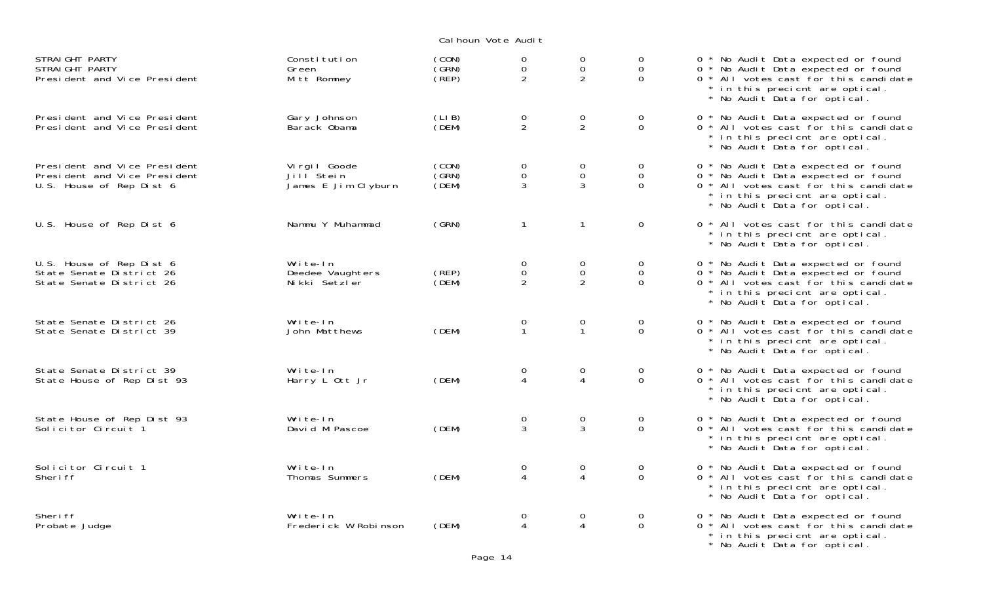| STRAIGHT PARTY<br>STRAIGHT PARTY<br>President and Vice President                         | Constitution<br>Green<br>Mitt Romney                         | (CON)<br>(GRN)<br>(REP) | $\boldsymbol{0}$<br>$\mathsf{O}\xspace$<br>$\overline{2}$ | $\mathbf 0$<br>$\mathsf{O}\xspace$<br>$\overline{2}$    | 0<br>$\mathbf 0$<br>$\Omega$           | 0 * No Audit Data expected or found<br>0 * No Audit Data expected or found<br>0 * All votes cast for this candidate<br>* in this precient are optical.<br>* No Audit Data for optical. |
|------------------------------------------------------------------------------------------|--------------------------------------------------------------|-------------------------|-----------------------------------------------------------|---------------------------------------------------------|----------------------------------------|----------------------------------------------------------------------------------------------------------------------------------------------------------------------------------------|
| President and Vice President<br>President and Vice President                             | Gary Johnson<br>Barack Obama                                 | (LIB)<br>(DEM)          | $\mathbf 0$<br>$\overline{2}$                             | $\mathbf 0$<br>$\overline{2}$                           | 0<br>$\mathbf{0}$                      | 0 * No Audit Data expected or found<br>0 * All votes cast for this candidate<br>* in this precient are optical.<br>* No Audit Data for optical.                                        |
| President and Vice President<br>President and Vice President<br>U.S. House of Rep Dist 6 | Virgil Goode<br>Jill <sup>Stein</sup><br>James E Jim Clyburn | (CON)<br>(GRN)<br>(DEM) | 0<br>$\mathbf 0$<br>3                                     | $\overline{0}$<br>$\mathbf 0$<br>3                      | $\Omega$<br>$\mathbf 0$<br>$\Omega$    | 0 * No Audit Data expected or found<br>0 * No Audit Data expected or found<br>0 * All votes cast for this candidate<br>* in this precient are optical.<br>* No Audit Data for optical. |
| U.S. House of Rep Dist 6                                                                 | Nammu Y Muhammad                                             | (GRN)                   | $\mathbf{1}$                                              | $\mathbf{1}$                                            | 0                                      | 0 * All votes cast for this candidate<br>* in this precient are optical.<br>* No Audit Data for optical.                                                                               |
| U.S. House of Rep Dist 6<br>State Senate District 26<br>State Senate District 26         | Write-In<br>Deedee Vaughters<br>Nikki Setzler                | (REP)<br>(DEM)          | $\mathbf 0$<br>$\mathsf{O}\xspace$<br>$\overline{2}$      | $\overline{0}$<br>$\mathsf{O}\xspace$<br>$\overline{2}$ | $\Omega$<br>$\overline{O}$<br>$\Omega$ | 0 * No Audit Data expected or found<br>0 * No Audit Data expected or found<br>0 * All votes cast for this candidate<br>* in this precient are optical.<br>* No Audit Data for optical. |
| State Senate District 26<br>State Senate District 39                                     | Write-In<br>John Matthews                                    | (DEM)                   | 0<br>$\mathbf{1}$                                         | $\mathbf 0$<br>$\mathbf{1}$                             | $\mathbf 0$<br>$\Omega$                | 0 * No Audit Data expected or found<br>0 * All votes cast for this candidate<br>* in this precient are optical.<br>* No Audit Data for optical.                                        |
| State Senate District 39<br>State House of Rep Dist 93                                   | Write-In<br>Harry L Ott Jr                                   | (DEM)                   | $\mathbf 0$<br>$\overline{4}$                             | $\mathbf 0$<br>4                                        | $\mathbf 0$<br>$\Omega$                | 0 * No Audit Data expected or found<br>0 * All votes cast for this candidate<br>* in this precient are optical.<br>* No Audit Data for optical.                                        |
| State House of Rep Dist 93<br>Solicitor Circuit <sup>1</sup>                             | Write-In<br>David M Pascoe                                   | (DEM)                   | $\mathbf 0$<br>3                                          | $\mathbf 0$<br>3                                        | 0<br>$\mathbf 0$                       | 0 * No Audit Data expected or found<br>0 * All votes cast for this candidate<br>* in this precient are optical.<br>* No Audit Data for optical.                                        |
| Solicitor Circuit 1<br>Sheri ff                                                          | Write-In<br>Thomas Summers                                   | (DEM)                   | $\mathbf 0$<br>4                                          | $\mathbf 0$<br>$\overline{4}$                           | 0<br>$\Omega$                          | 0 * No Audit Data expected or found<br>0 * All votes cast for this candidate<br>* in this precient are optical.<br>* No Audit Data for optical.                                        |
| Sheri ff<br>Probate Judge                                                                | Write-In<br>Frederick W Robinson                             | (DEM)                   | 0<br>4                                                    | 0<br>$\overline{4}$                                     | 0<br>$\Omega$                          | 0 * No Audit Data expected or found<br>0 * All votes cast for this candidate<br>* in this precient are optical.                                                                        |

\* No Audit Data for optical.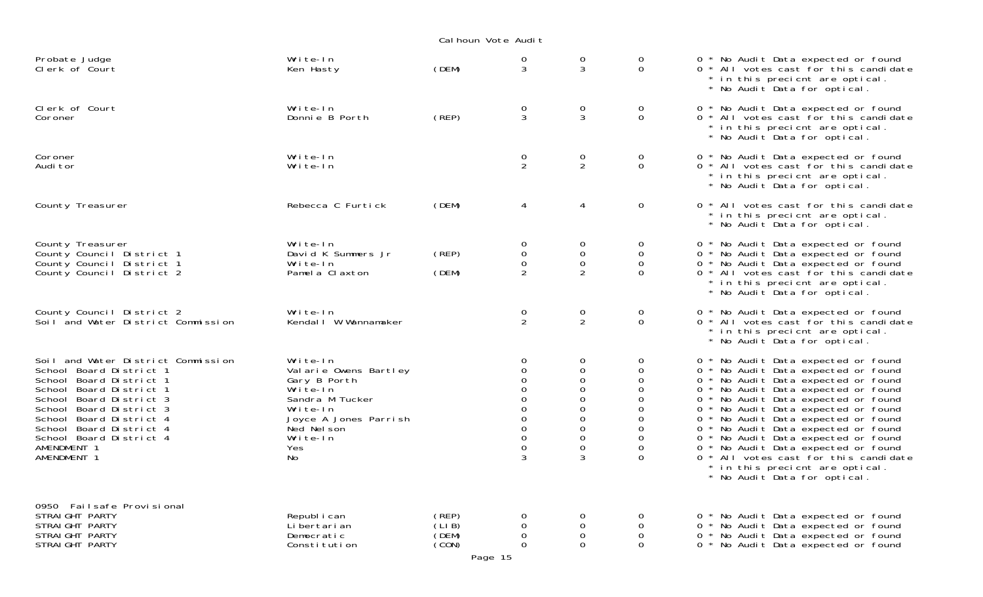| Probate Judge<br>Clerk of Court                                                                                                                                                                                                                                                          | Write-In<br>Ken Hasty                                                                                                                                        | (DEM)                            | $\rm _3^0$                                               | $\mathbf 0$<br>3                                                                                                                                                               | $\mathbf 0$<br>$\Omega$                                                                      | 0 * No Audit Data expected or found<br>0 * All votes cast for this candidate<br>* in this precient are optical.<br>* No Audit Data for optical.                                                                                                                                                                                                                                                                                                                                                                |
|------------------------------------------------------------------------------------------------------------------------------------------------------------------------------------------------------------------------------------------------------------------------------------------|--------------------------------------------------------------------------------------------------------------------------------------------------------------|----------------------------------|----------------------------------------------------------|--------------------------------------------------------------------------------------------------------------------------------------------------------------------------------|----------------------------------------------------------------------------------------------|----------------------------------------------------------------------------------------------------------------------------------------------------------------------------------------------------------------------------------------------------------------------------------------------------------------------------------------------------------------------------------------------------------------------------------------------------------------------------------------------------------------|
| Clerk of Court<br>Coroner                                                                                                                                                                                                                                                                | Write-In<br>Donnie B Porth                                                                                                                                   | (REP)                            | $^{\rm o}_{\rm 3}$                                       | $\mathbf 0$<br>$\overline{3}$                                                                                                                                                  | $\mathbf 0$<br>$\mathbf 0$                                                                   | 0 * No Audit Data expected or found<br>0 * All votes cast for this candidate<br>* in this precient are optical.<br>* No Audit Data for optical.                                                                                                                                                                                                                                                                                                                                                                |
| Coroner<br>Audi tor                                                                                                                                                                                                                                                                      | Write-In<br>Write-In                                                                                                                                         |                                  | $\frac{0}{2}$                                            | $\frac{0}{2}$                                                                                                                                                                  | $\mathbf 0$<br>$\overline{0}$                                                                | 0 * No Audit Data expected or found<br>0 * All votes cast for this candidate<br>* in this precient are optical.<br>* No Audit Data for optical.                                                                                                                                                                                                                                                                                                                                                                |
| County Treasurer                                                                                                                                                                                                                                                                         | Rebecca C Furtick                                                                                                                                            | (DEM)                            | 4                                                        | $\overline{4}$                                                                                                                                                                 | $\mathbf 0$                                                                                  | 0 * All votes cast for this candidate<br>* in this precient are optical.<br>* No Audit Data for optical.                                                                                                                                                                                                                                                                                                                                                                                                       |
| County Treasurer<br>County Council District 1<br>County Council District 1<br>County Council District 2                                                                                                                                                                                  | Write-In<br>David K Summers Jr<br>Write-In<br>Pamel a Cl axton                                                                                               | (REP)<br>(DEM)                   | $_{\rm 0}^{\rm 0}$<br>$\mathbf 0$<br>$\overline{2}$      | 0<br>$\mathbf 0$<br>$\mathsf{O}\xspace$<br>$\overline{2}$                                                                                                                      | 0<br>0<br>$\mathbf 0$<br>$\overline{0}$                                                      | 0 * No Audit Data expected or found<br>0 * No Audit Data expected or found<br>0 * No Audit Data expected or found<br>0 * All votes cast for this candidate<br>* in this precient are optical.<br>* No Audit Data for optical.                                                                                                                                                                                                                                                                                  |
| County Council District 2<br>Soil and Water District Commission                                                                                                                                                                                                                          | Write-In<br>Kendall W Wannamaker                                                                                                                             |                                  | $\frac{0}{2}$                                            | $\frac{0}{2}$                                                                                                                                                                  | $\mathbf 0$<br>$\mathbf{O}$                                                                  | 0 * No Audit Data expected or found<br>0 * All votes cast for this candidate<br>* in this precient are optical.<br>* No Audit Data for optical.                                                                                                                                                                                                                                                                                                                                                                |
| Soil and Water District Commission<br>School Board District 1<br>School Board District 1<br>School Board District 1<br>School Board District 3<br>School Board District 3<br>School Board District 4<br>School Board District 4<br>School Board District 4<br>AMENDMENT 1<br>AMENDMENT 1 | Write-In<br>Valarie Owens Bartley<br>Gary B Porth<br>Write-In<br>Sandra M Tucker<br>Write-In<br>Joyce A Jones Parrish<br>Ned Nelson<br>Write-In<br>Yes<br>No |                                  | 0<br>$\mathsf{O}\xspace$<br>0000000<br>$\overline{3}$    | $\mathbf 0$<br>$\mathbf 0$<br>$\mbox{O}$<br>$\mathbf 0$<br>$\mathbf 0$<br>$\mathbf 0$<br>$\mathsf{O}\xspace$<br>$\mathbf 0$<br>$\mathsf{O}\xspace$<br>$\mathsf{O}\xspace$<br>3 | $\mathbf 0$<br>0<br>0<br>$\Omega$<br>0<br>$\Omega$<br>0<br>0<br>$\mathbf 0$<br>0<br>$\Omega$ | 0 * No Audit Data expected or found<br>0 * No Audit Data expected or found<br>0 * No Audit Data expected or found<br>0 * No Audit Data expected or found<br>0 * No Audit Data expected or found<br>0 * No Audit Data expected or found<br>0 * No Audit Data expected or found<br>0 * No Audit Data expected or found<br>0 * No Audit Data expected or found<br>0 * No Audit Data expected or found<br>0 * All votes cast for this candidate<br>* in this precient are optical.<br>* No Audit Data for optical. |
| 0950 Failsafe Provisional<br>STRAIGHT PARTY<br>STRAIGHT PARTY<br>STRAIGHT PARTY<br>STRAIGHT PARTY                                                                                                                                                                                        | Republ i can<br>Li bertari an<br>Democratic<br>Constitution                                                                                                  | (REP)<br>(LIB)<br>(DEM)<br>(CON) | $\mathbf 0$<br>$\mathbf 0$<br>$\mathbf 0$<br>$\mathbf 0$ | $\overline{0}$<br>$\mathbf 0$<br>$\mathbf 0$<br>$\mathbf 0$                                                                                                                    | 0<br>$\overline{0}$<br>$\mathbf 0$<br>$\Omega$                                               | 0 * No Audit Data expected or found<br>0 * No Audit Data expected or found<br>0 * No Audit Data expected or found<br>0 * No Audit Data expected or found                                                                                                                                                                                                                                                                                                                                                       |

Page 15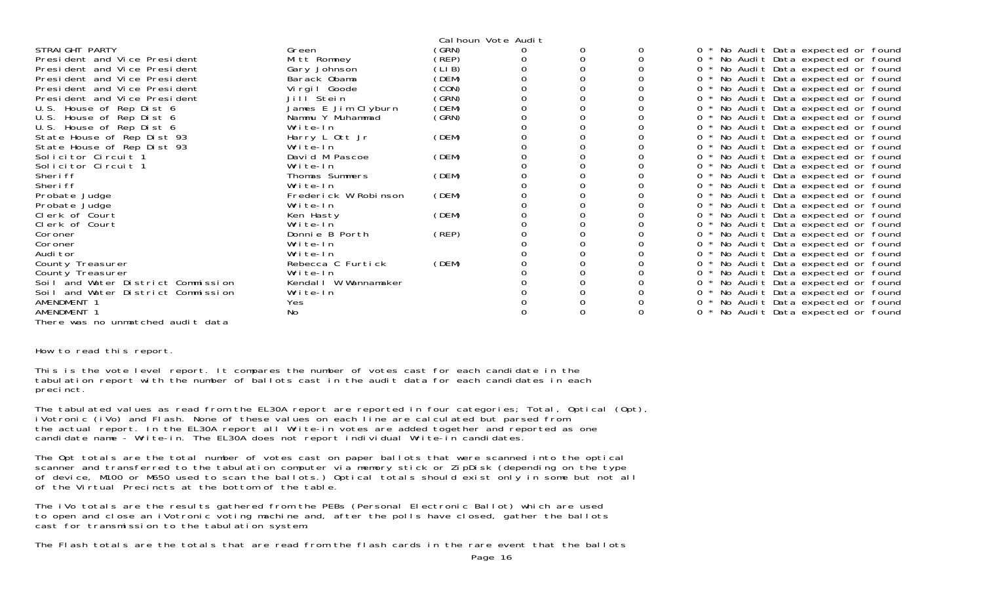|                                    |                       |       | Cal houn Vote Audit |  |                                             |
|------------------------------------|-----------------------|-------|---------------------|--|---------------------------------------------|
| STRAIGHT PARTY                     | Green                 | (GRN) |                     |  | 0 * No Audit Data expected or found         |
| President and Vice President       | Mitt Romney           | (REP) |                     |  | 0 * No Audit Data expected or found         |
| President and Vice President       | Gary Johnson          | (LIB) |                     |  | 0 * No Audit Data expected or found         |
| President and Vice President       | Barack Obama          | (DEM) |                     |  | $0 *$<br>No Audit Data expected or found    |
| President and Vice President       | Virgil Goode          | (CON) |                     |  | 0 * No Audit Data expected or found         |
| President and Vice President       | Jill <sup>Stein</sup> | (GRN) |                     |  | $0^*$<br>No Audit Data expected or found    |
| U.S. House of Rep Dist 6           | James E Jim Clyburn   | (DEM) |                     |  | 0 * No Audit Data expected or found         |
| U.S. House of Rep Dist 6           | Nammu Y Muhammad      | (GRN) |                     |  | $0 *$<br>No Audit Data expected or found    |
| U.S. House of Rep Dist 6           | Write-In              |       |                     |  | 0 * No Audit Data expected or found         |
| State House of Rep Dist 93         | Harry L Ott Jr        | (DEM) |                     |  | No Audit Data expected or found<br>$0^*$    |
| State House of Rep Dist 93         | Write-In              |       |                     |  | 0 * No Audit Data expected or found         |
| Solicitor Circuit 1                | David M Pascoe        | (DEM) |                     |  | $0 *$<br>No Audit Data expected or found    |
| Solicitor Circuit 1                | Write-In              |       |                     |  | 0 * No Audit Data expected or found         |
| Sheri ff                           | Thomas Summers        | (DEM) |                     |  | $0^*$<br>No Audit Data expected or found    |
| Sheri ff                           | Write-In              |       |                     |  | 0 * No Audit Data expected or found         |
| Probate Judge                      | Frederick W Robinson  | (DEM) |                     |  | $0 *$<br>No Audit Data expected or found    |
| Probate Judge                      | Write-In              |       |                     |  | 0 * No Audit Data expected or found         |
| Clerk of Court                     | Ken Hasty             | (DEM) |                     |  | $0 *$<br>No Audit Data expected or found    |
| Clerk of Court                     | Write-In              |       |                     |  | $0^*$<br>No Audit Data expected or found    |
| Coroner                            | Donnie B Porth        | (REP) |                     |  | $0 *$<br>No Audit Data expected or found    |
| Coroner                            | Write-In              |       |                     |  | $0 *$<br>No Audit Data expected or found    |
| Audi tor                           | Write-In              |       |                     |  | No Audit Data expected or found             |
| County Treasurer                   | Rebecca C Furtick     | (DEM) |                     |  | $\Omega$<br>No Audit Data expected or found |
| County Treasurer                   | Write-In              |       |                     |  | No Audit Data expected or found             |
| Soil and Water District Commission | Kendall W Wannamaker  |       |                     |  | $0 *$<br>No Audit Data expected or found    |
| Soil and Water District Commission | Write-In              |       |                     |  | No Audit Data expected or found             |
| AMENDMENT 1                        | Yes                   |       |                     |  | No Audit Data expected or found<br>$\Omega$ |
| AMENDMENT                          | No.                   |       |                     |  | $0 *$<br>No Audit Data expected or found    |
| Thoro was no unmatched audit data  |                       |       |                     |  |                                             |

There was no unmatched audit data

How to read this report.

This is the vote level report. It compares the number of votes cast for each candidate in the tabulation report with the number of ballots cast in the audit data for each candidates in each precinct.

The tabulated values as read from the EL30A report are reported in four categories; Total, Optical (Opt), iVotronic (iVo) and Flash. None of these values on each line are calculated but parsed from the actual report. In the EL30A report all Write-in votes are added together and reported as one candidate name - Write-in. The EL30A does not report individual Write-in candidates.

The Opt totals are the total number of votes cast on paper ballots that were scanned into the optical scanner and transferred to the tabulation computer via memory stick or ZipDisk (depending on the type of device, M100 or M650 used to scan the ballots.) Optical totals should exist only in some but not all<br>of the Virtual Precincts at the bottom of the table.

The iVo totals are the results gathered from the PEBs (Personal Electronic Ballot) which are used to open and close an iVotronic voting machine and, after the polls have closed, gather the ballots cast for transmission to the tabulation system.

The Flash totals are the totals that are read from the flash cards in the rare event that the ballots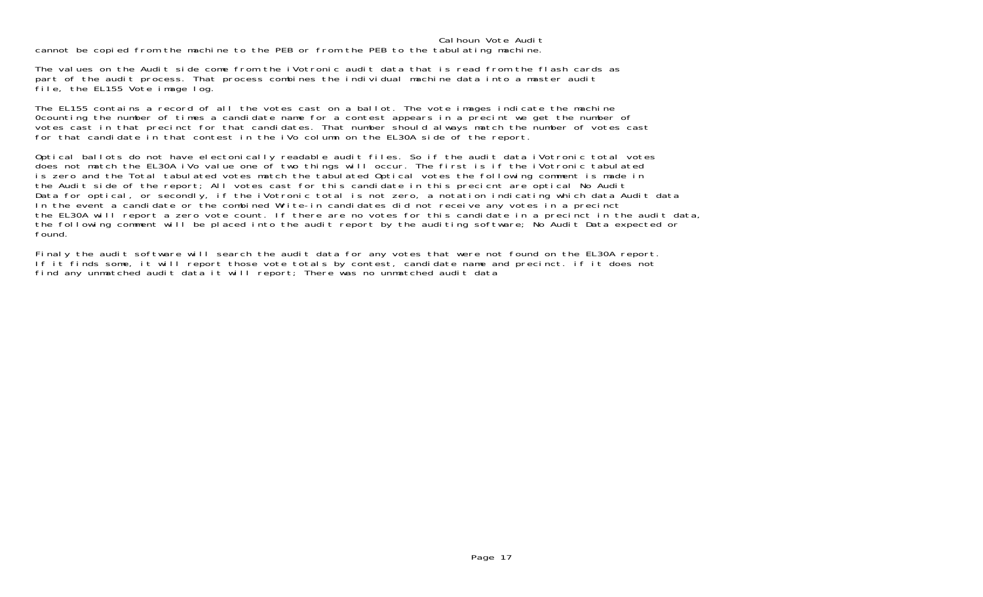cannot be copied from the machine to the PEB or from the PEB to the tabulating machine.

The values on the Audit side come from the iVotronic audit data that is read from the flash cards as part of the audit process. That process combines the individual machine data into a master audit file, the EL155 Vote image log.

The EL155 contains a record of all the votes cast on a ballot. The vote images indicate the machine 0counting the number of times a candidate name for a contest appears in a precint we get the number of votes cast in that precinct for that candidates. That number should always match the number of votes cast for that candidate in that contest in the iVo column on the EL30A side of the report.

Optical ballots do not have electonically readable audit files. So if the audit data iVotronic total votes does not match the EL30A iVo value one of two things will occur. The first is if the iVotronic tabulated is zero and the Total tabulated votes match the tabulated Optical votes the following comment is made in the Audit side of the report; All votes cast for this candidate in this precicnt are optical No Audit Data for optical, or secondly, if the iVotronic total is not zero, a notation indicating which data Audit data In the event a candidate or the combined Write-in candidates did not receive any votes in a precinct the EL30A will report a zero vote count. If there are no votes for this candidate in a precinct in the audit data, the following comment will be placed into the audit report by the auditing software; No Audit Data expected or found.

Finaly the audit software will search the audit data for any votes that were not found on the EL30A report. If it finds some, it will report those vote totals by contest, candidate name and precinct. if it does not find any unmatched audit data it will report; There was no unmatched audit data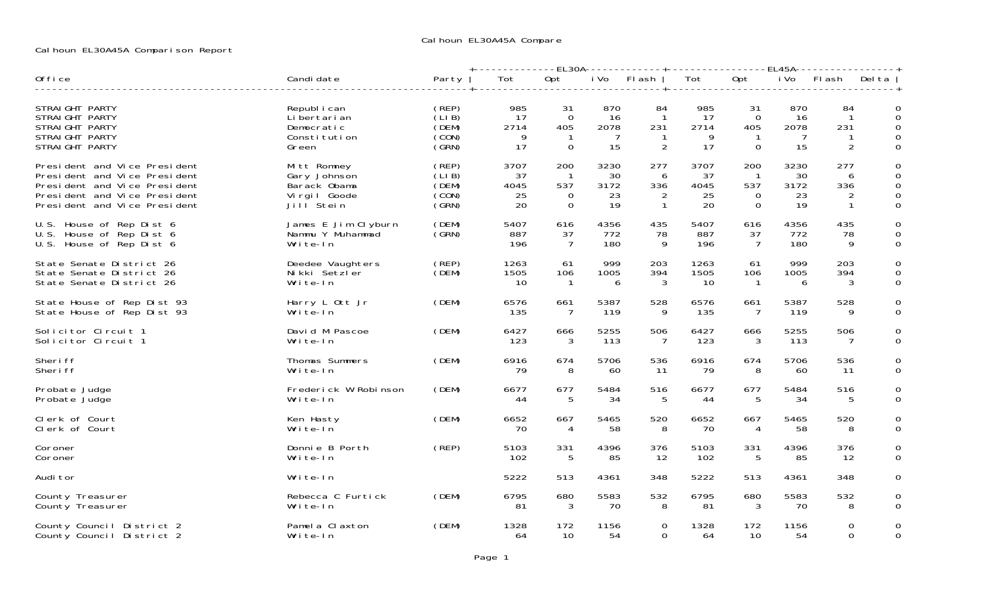# Calhoun EL30A45A Comparison Report

|                                                                                                                                                              |                                                                                        |                                           |                                |                                                       |                                | ------------EL30A-------------+-----------------EL45A- |                                |                                            |                                |                                      |                                                                    |
|--------------------------------------------------------------------------------------------------------------------------------------------------------------|----------------------------------------------------------------------------------------|-------------------------------------------|--------------------------------|-------------------------------------------------------|--------------------------------|--------------------------------------------------------|--------------------------------|--------------------------------------------|--------------------------------|--------------------------------------|--------------------------------------------------------------------|
| Office                                                                                                                                                       | Candi date                                                                             | Party                                     | Tot                            | Opt                                                   | i Vo                           | FI ash                                                 | Tot                            | Opt                                        | i Vo                           | FI ash                               | Delta $ $                                                          |
| STRAIGHT PARTY<br>STRAIGHT PARTY<br>STRAIGHT PARTY<br>STRAIGHT PARTY<br>STRAIGHT PARTY                                                                       | Republ i can<br>Li bertari an<br>Democratic<br>Constitution<br>Green                   | (REP)<br>(LIB)<br>(DEM)<br>(CON)<br>(GRN) | 985<br>-17<br>2714<br>-9<br>17 | 31<br>$\Omega$<br>405<br>-1<br>$\mathbf 0$            | 870<br>-16<br>2078<br>7<br>15  | 84<br>-1<br>231<br>-1<br>2                             | 985<br>-17<br>2714<br>9<br>17  | 31<br>$\Omega$<br>405<br>-1<br>$\mathbf 0$ | 870<br>16<br>2078<br>7<br>15   | 84<br>231<br>2                       | 0<br>0<br>0<br>0                                                   |
| President and Vice President<br>President and Vice President<br>President and Vice President<br>President and Vice President<br>President and Vice President | Mitt Romney<br>Gary Johnson<br>Barack Obama<br>Vi rgi I Goode<br>Jill <sup>Stein</sup> | (REP)<br>(LIB)<br>(DEM)<br>(CON)<br>(SRN) | 3707<br>37<br>4045<br>25<br>20 | 200<br>$\mathbf{1}$<br>537<br>$\Omega$<br>$\mathbf 0$ | 3230<br>30<br>3172<br>23<br>19 | 277<br>6<br>336<br>$\overline{2}$<br>$\mathbf{1}$      | 3707<br>37<br>4045<br>25<br>20 | 200<br>-1<br>537<br>$\Omega$<br>$\Omega$   | 3230<br>30<br>3172<br>23<br>19 | 277<br>6<br>336<br>2<br>$\mathbf{1}$ | $\boldsymbol{0}$<br>$\mathbf 0$<br>0<br>$\mathbf 0$<br>$\mathbf 0$ |
| U.S. House of Rep Dist 6<br>U.S. House of Rep Dist 6<br>U.S. House of Rep Dist 6                                                                             | James E Jim Clyburn<br>Nammu Y Muhammad<br>Write-In                                    | (DEM)<br>(GRN)                            | 5407<br>887<br>196             | 616<br>37<br>7                                        | 4356<br>772<br>180             | 435<br>78<br>9                                         | 5407<br>887<br>196             | 616<br>37<br>7                             | 4356<br>772<br>180             | 435<br>78<br>9                       | $\mathbf 0$<br>0<br>0                                              |
| State Senate District 26<br>State Senate District 26<br>State Senate District 26                                                                             | Deedee Vaughters<br>Nikki Setzler<br>Write-In                                          | (REP)<br>(DEM)                            | 1263<br>1505<br>10             | 61<br>106<br>$\mathbf{1}$                             | 999<br>1005<br>6               | 203<br>394<br>3                                        | 1263<br>1505<br>10             | 61<br>106<br>$\mathbf 1$                   | 999<br>1005<br>6               | 203<br>394<br>3                      | 0<br>$\boldsymbol{0}$<br>$\mathbf 0$                               |
| State House of Rep Dist 93<br>State House of Rep Dist 93                                                                                                     | Harry L Ott Jr<br>Write-In                                                             | (DEM)                                     | 6576<br>135                    | 661<br>7                                              | 5387<br>119                    | 528<br>9                                               | 6576<br>135                    | 661<br>7                                   | 5387<br>119                    | 528<br>9                             | 0<br>$\Omega$                                                      |
| Solicitor Circuit 1<br>Solicitor Circuit 1                                                                                                                   | David M Pascoe<br>Write-In                                                             | (DEM)                                     | 6427<br>123                    | 666<br>3                                              | 5255<br>113                    | 506<br>7                                               | 6427<br>123                    | 666<br>3                                   | 5255<br>113                    | 506<br>7                             | $\Omega$                                                           |
| Sheri ff<br>Sheri ff                                                                                                                                         | Thomas Summers<br>Write-In                                                             | (DEM)                                     | 6916<br>79                     | 674<br>8                                              | 5706<br>-60                    | 536<br>-11                                             | 6916<br>79                     | 674<br>8                                   | 5706<br>60                     | 536<br>11                            | 0                                                                  |
| Probate Judge<br>Probate Judge                                                                                                                               | Frederick W Robinson<br>Write-In                                                       | (DEM)                                     | 6677<br>44                     | 677<br>5                                              | 5484<br>34                     | 516<br>-5                                              | 6677<br>44                     | 677<br>-5                                  | 5484<br>34                     | 516<br>5                             | $\mathbf 0$                                                        |
| Clerk of Court<br>Clerk of Court                                                                                                                             | Ken Hasty<br>Write-In                                                                  | (DEM)                                     | 6652<br>70                     | 667<br>4                                              | 5465<br>58                     | 520<br>8                                               | 6652<br>70                     | 667<br>4                                   | 5465<br>58                     | 520<br>8                             | $\boldsymbol{0}$<br>$\Omega$                                       |
| Coroner<br>Coroner                                                                                                                                           | Donnie B Porth<br>Write-In                                                             | (REP)                                     | 5103<br>102                    | 331<br>5                                              | 4396<br>85                     | 376<br>12                                              | 5103<br>102                    | 331<br>5                                   | 4396<br>85                     | 376<br>12                            | 0<br>$\mathbf 0$                                                   |
| Audi tor                                                                                                                                                     | Write-In                                                                               |                                           | 5222                           | 513                                                   | 4361                           | 348                                                    | 5222                           | 513                                        | 4361                           | 348                                  | $\boldsymbol{0}$                                                   |
| County Treasurer<br>County Treasurer                                                                                                                         | Rebecca C Furtick<br>Write-In                                                          | (DEM)                                     | 6795<br>81                     | 680<br>3                                              | 5583<br>70                     | 532<br>8                                               | 6795<br>81                     | 680<br>3                                   | 5583<br>70                     | 532<br>8                             | 0<br>$\Omega$                                                      |
| County Council District 2<br>County Council District 2                                                                                                       | Pamela Claxton<br>Write-In                                                             | (DEM)                                     | 1328<br>64                     | 172<br>10                                             | 1156<br>54                     | $\mathbf 0$<br>$\Omega$                                | 1328<br>64                     | 172<br>10                                  | 1156<br>54                     | 0<br>$\Omega$                        | 0<br>$\mathbf 0$                                                   |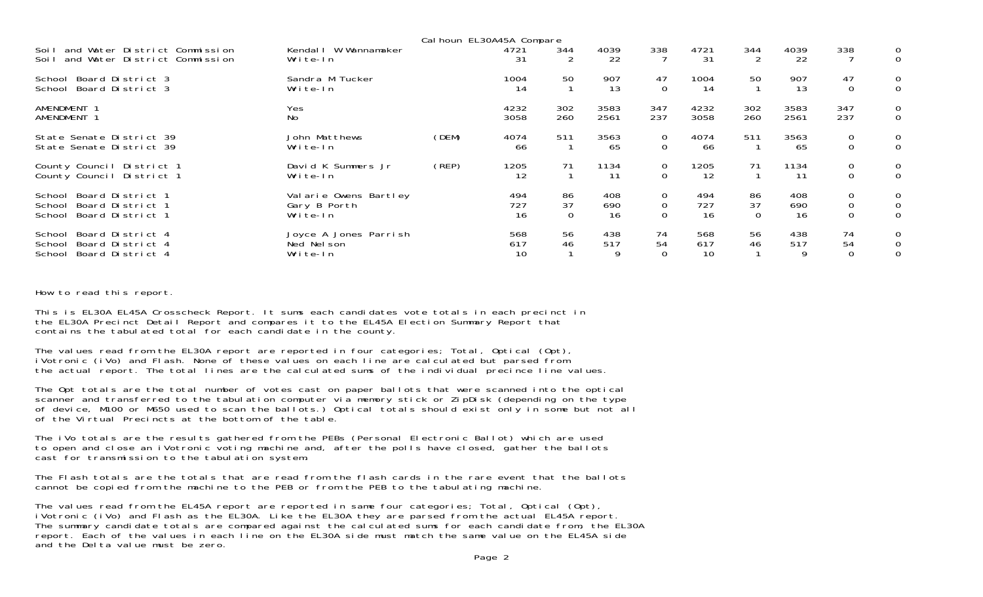|                                                                                        |                                                   |       | Cal houn EL30A45A Compare |                            |                  |                                            |                  |                      |                  |                       |                                              |
|----------------------------------------------------------------------------------------|---------------------------------------------------|-------|---------------------------|----------------------------|------------------|--------------------------------------------|------------------|----------------------|------------------|-----------------------|----------------------------------------------|
| and Water District Commission<br>Soi L<br>and Water District Commission<br>Soi L       | Kendall W Wannamaker<br>Write-In                  |       | 4721<br>31                | 344                        | 4039<br>22       | 338                                        | 4721<br>31       | 344<br>2             | 4039<br>22       | 338                   | $\mathbf{O}$                                 |
| School Board District 3<br>School Board District 3                                     | Sandra M Tucker<br>Write-In                       |       | 1004<br>14                | 50                         | 907<br>13        | 47<br>$\mathbf 0$                          | 1004<br>14       | 50                   | 907<br>13        | 47<br>$\mathbf 0$     | $\mathbf{O}$<br>$\mathbf{O}$                 |
| AMENDMENT 1<br>AMENDMENT 1                                                             | Yes<br>No                                         |       | 4232<br>3058              | 302<br>260                 | 3583<br>2561     | 347<br>237                                 | 4232<br>3058     | 302<br>260           | 3583<br>2561     | 347<br>237            | $\mathsf{O}$<br>$\mathbf{O}$                 |
| State Senate District 39<br>State Senate District 39                                   | John Matthews<br>Write-In                         | (DEM) | 4074<br>66                | 511                        | 3563<br>65       | $\mathbf 0$<br>$\Omega$                    | 4074<br>66       | 511                  | 3563<br>65       | 0<br>$\mathbf 0$      | $\mathbf{0}$                                 |
| County Council District 1<br>County Council District 1                                 | David K Summers Jr<br>Write-In                    | (REP) | 1205<br>12                | 71                         | 1134<br>11       | $\mathbf{O}$<br>$\overline{0}$             | 1205<br>12       | 71<br>1              | 1134<br>-11      | 0<br>$\mathbf 0$      | $\mathbf{0}$                                 |
| School Board District 1<br>School Board District 1<br>School Board District 1          | Valarie Owens Bartley<br>Gary B Porth<br>Write-In |       | 494<br>727<br>16          | 86<br>37<br>$\overline{0}$ | 408<br>690<br>16 | $\mathbf{0}$<br>$\overline{0}$<br>$\Omega$ | 494<br>727<br>16 | 86<br>37<br>$\Omega$ | 408<br>690<br>16 | 0<br>$\mathbf 0$<br>0 | $\mathbf{0}$<br>$\mathbf{O}$<br>$\mathbf{O}$ |
| Board District 4<br>School<br>Board District 4<br>School<br>Board District 4<br>School | Joyce A Jones Parrish<br>Ned Nel son<br>Write-In  |       | 568<br>617<br>10          | 56<br>46                   | 438<br>517<br>9  | 74<br>54<br>$\Omega$                       | 568<br>617<br>10 | 56<br>46             | 438<br>517<br>9  | 74<br>54<br>0         | $\mathbf{O}$<br>$\mathbf{0}$                 |

How to read this report.

This is EL30A EL45A Crosscheck Report. It sums each candidates vote totals in each precinct in the EL30A Precinct Detail Report and compares it to the EL45A Election Summary Report that contains the tabulated total for each candidate in the county.

The values read from the EL30A report are reported in four categories; Total, Optical (Opt), iVotronic (iVo) and Flash. None of these values on each line are calculated but parsed from the actual report. The total lines are the calculated sums of the individual precince line values.

The Opt totals are the total number of votes cast on paper ballots that were scanned into the optical scanner and transferred to the tabulation computer via memory stick or ZipDisk (depending on the type of device, M100 or M650 used to scan the ballots.) Optical totals should exist only in some but not all of the Virtual Precincts at the bottom of the table.

The iVo totals are the results gathered from the PEBs (Personal Electronic Ballot) which are used to open and close an iVotronic voting machine and, after the polls have closed, gather the ballots cast for transmission to the tabulation system.

The Flash totals are the totals that are read from the flash cards in the rare event that the ballotscannot be copied from the machine to the PEB or from the PEB to the tabulating machine.

The values read from the EL45A report are reported in same four categories; Total, Optical (Opt), iVotronic (iVo) and Flash as the EL30A. Like the EL30A they are parsed from the actual EL45A report. The summary candidate totals are compared against the calculated sums for each candidate from, the EL30A report. Each of the values in each line on the EL30A side must match the same value on the EL45A side and the Delta value must be zero.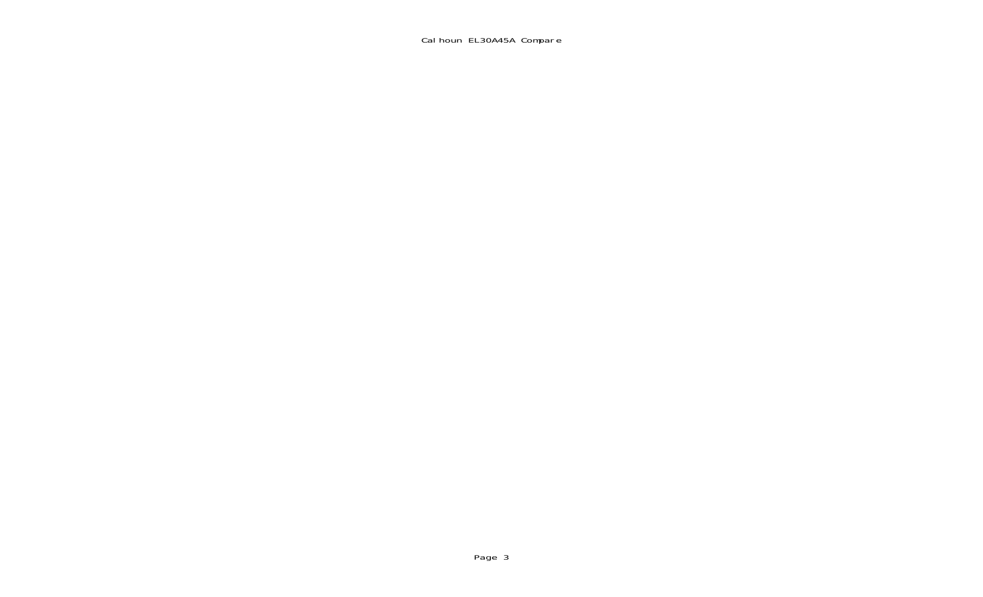Cal houn EL30A45A Compare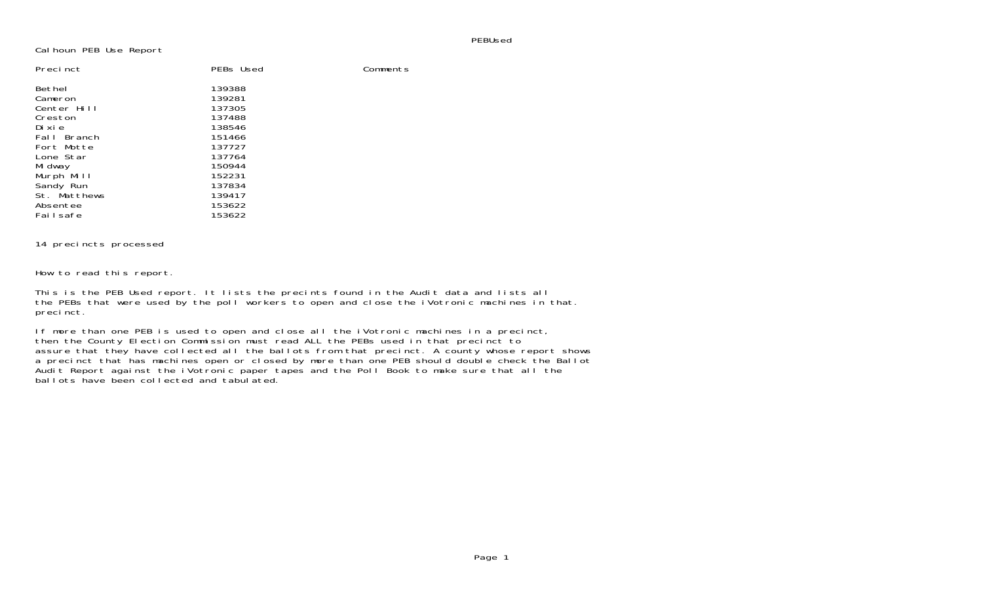PEBUsed

Cal houn PEB Use Report

| Precinct                  | PEBs Used        | Comments |
|---------------------------|------------------|----------|
| Bethel<br>Cameron         | 139388<br>139281 |          |
| Center Hill               | 137305<br>137488 |          |
| Creston<br>Di xi e        | 138546           |          |
| Fall Branch<br>Fort Motte | 151466<br>137727 |          |
| Lone Star<br>Mi dway      | 137764<br>150944 |          |
| Murph Mill<br>Sandy Run   | 152231<br>137834 |          |
| St. Matthews<br>Absentee  | 139417<br>153622 |          |
| Fai I safe                | 153622           |          |

14 precincts processed

How to read this report.

This is the PEB Used report. It lists the precints found in the Audit data and lists all the PEBs that were used by the poll workers to open and close the iVotronic machines in that. precinct.

If more than one PEB is used to open and close all the iVotronic machines in a precinct, then the County Election Commission must read ALL the PEBs used in that precinct to assure that they have collected all the ballots from that precinct. A county whose report shows a precinct that has machines open or closed by more than one PEB should double check the Ballot Audit Report against the iVotronic paper tapes and the Poll Book to make sure that all the ballots have been collected and tabulated.